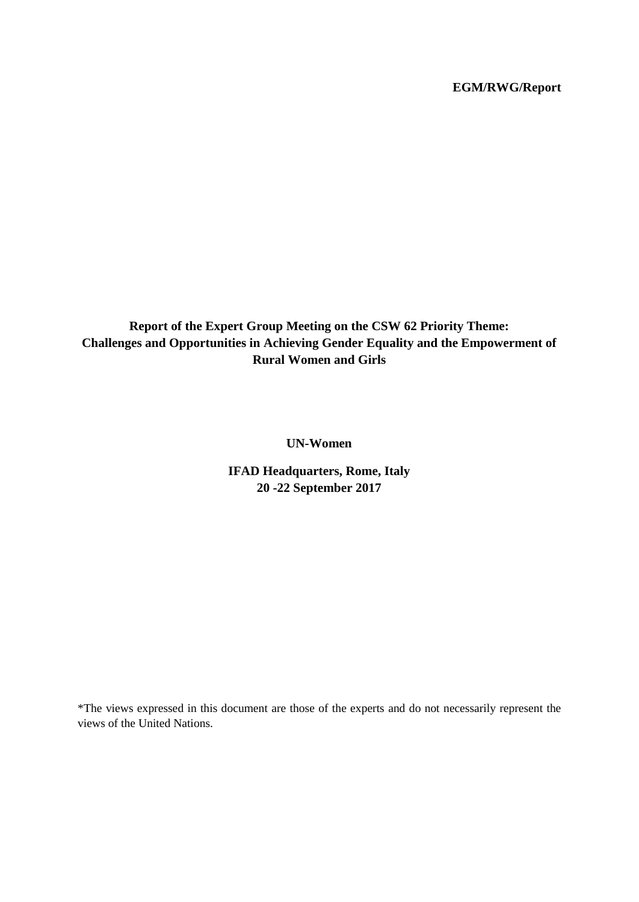# **EGM/RWG/Report**

**Report of the Expert Group Meeting on the CSW 62 Priority Theme: Challenges and Opportunities in Achieving Gender Equality and the Empowerment of Rural Women and Girls**

**UN-Women**

**IFAD Headquarters, Rome, Italy 20 -22 September 2017**

\*The views expressed in this document are those of the experts and do not necessarily represent the views of the United Nations.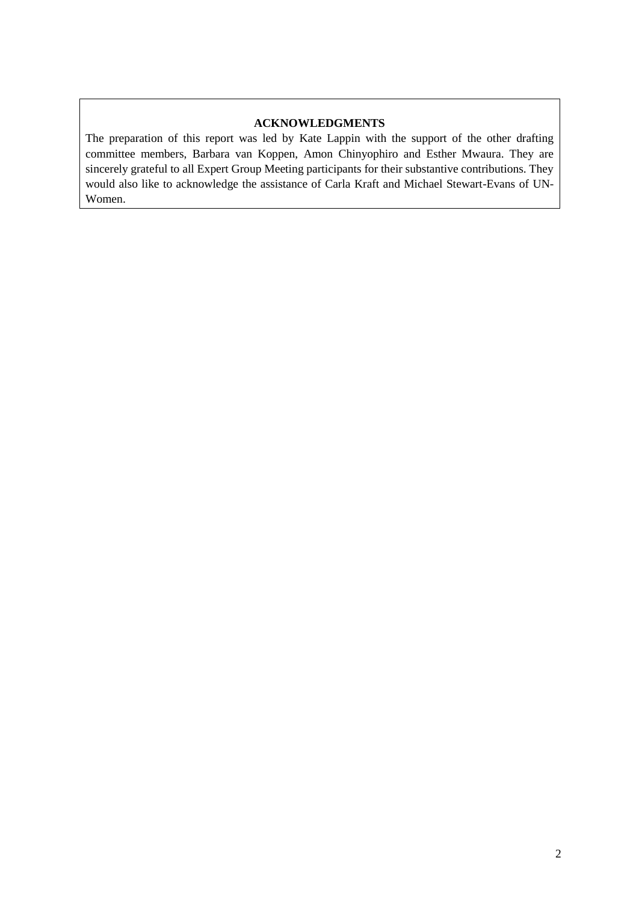### **ACKNOWLEDGMENTS**

The preparation of this report was led by Kate Lappin with the support of the other drafting committee members, Barbara van Koppen, Amon Chinyophiro and Esther Mwaura. They are sincerely grateful to all Expert Group Meeting participants for their substantive contributions. They would also like to acknowledge the assistance of Carla Kraft and Michael Stewart-Evans of UN-Women.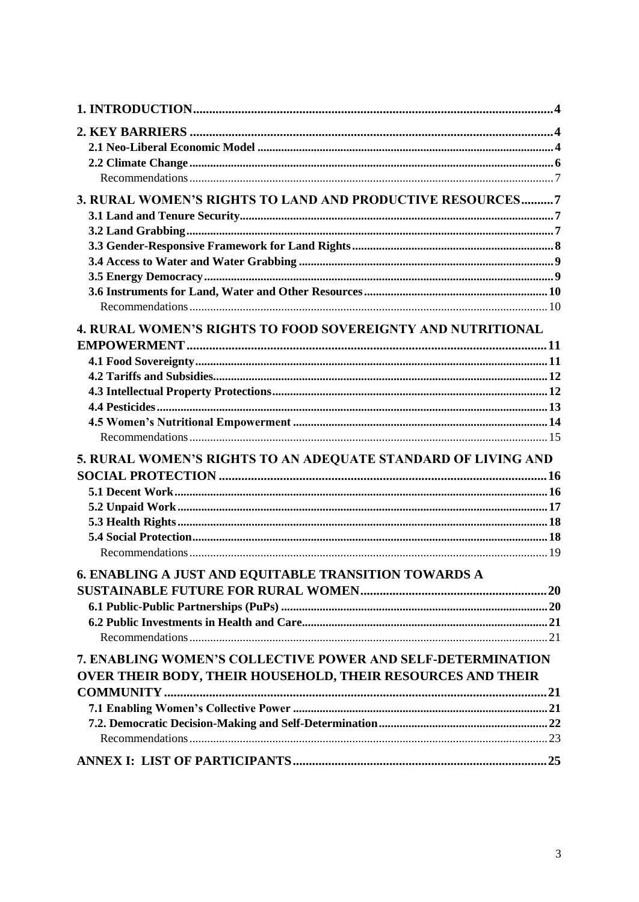| 3. RURAL WOMEN'S RIGHTS TO LAND AND PRODUCTIVE RESOURCES7          |  |
|--------------------------------------------------------------------|--|
|                                                                    |  |
|                                                                    |  |
|                                                                    |  |
|                                                                    |  |
|                                                                    |  |
|                                                                    |  |
|                                                                    |  |
| <b>4. RURAL WOMEN'S RIGHTS TO FOOD SOVEREIGNTY AND NUTRITIONAL</b> |  |
|                                                                    |  |
|                                                                    |  |
|                                                                    |  |
|                                                                    |  |
|                                                                    |  |
|                                                                    |  |
|                                                                    |  |
| 5. RURAL WOMEN'S RIGHTS TO AN ADEQUATE STANDARD OF LIVING AND      |  |
|                                                                    |  |
|                                                                    |  |
|                                                                    |  |
|                                                                    |  |
|                                                                    |  |
|                                                                    |  |
| 6. ENABLING A JUST AND EQUITABLE TRANSITION TOWARDS A              |  |
|                                                                    |  |
|                                                                    |  |
|                                                                    |  |
|                                                                    |  |
| 7. ENABLING WOMEN'S COLLECTIVE POWER AND SELF-DETERMINATION        |  |
| <b>OVER THEIR BODY, THEIR HOUSEHOLD, THEIR RESOURCES AND THEIR</b> |  |
|                                                                    |  |
|                                                                    |  |
|                                                                    |  |
|                                                                    |  |
|                                                                    |  |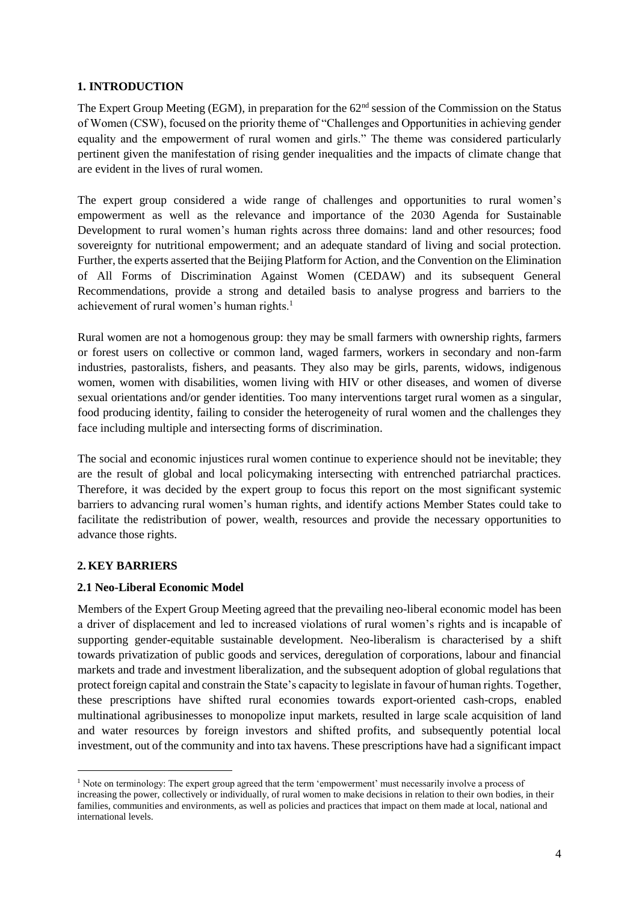### <span id="page-3-0"></span>**1. INTRODUCTION**

The Expert Group Meeting (EGM), in preparation for the  $62<sup>nd</sup>$  session of the Commission on the Status of Women (CSW), focused on the priority theme of "Challenges and Opportunities in achieving gender equality and the empowerment of rural women and girls." The theme was considered particularly pertinent given the manifestation of rising gender inequalities and the impacts of climate change that are evident in the lives of rural women.

The expert group considered a wide range of challenges and opportunities to rural women's empowerment as well as the relevance and importance of the 2030 Agenda for Sustainable Development to rural women's human rights across three domains: land and other resources; food sovereignty for nutritional empowerment; and an adequate standard of living and social protection. Further, the experts asserted that the Beijing Platform for Action, and the Convention on the Elimination of All Forms of Discrimination Against Women (CEDAW) and its subsequent General Recommendations, provide a strong and detailed basis to analyse progress and barriers to the achievement of rural women's human rights.<sup>1</sup>

Rural women are not a homogenous group: they may be small farmers with ownership rights, farmers or forest users on collective or common land, waged farmers, workers in secondary and non-farm industries, pastoralists, fishers, and peasants. They also may be girls, parents, widows, indigenous women, women with disabilities, women living with HIV or other diseases, and women of diverse sexual orientations and/or gender identities. Too many interventions target rural women as a singular, food producing identity, failing to consider the heterogeneity of rural women and the challenges they face including multiple and intersecting forms of discrimination.

The social and economic injustices rural women continue to experience should not be inevitable; they are the result of global and local policymaking intersecting with entrenched patriarchal practices. Therefore, it was decided by the expert group to focus this report on the most significant systemic barriers to advancing rural women's human rights, and identify actions Member States could take to facilitate the redistribution of power, wealth, resources and provide the necessary opportunities to advance those rights.

#### <span id="page-3-1"></span>**2. KEY BARRIERS**

 $\overline{a}$ 

#### <span id="page-3-2"></span>**2.1 Neo-Liberal Economic Model**

Members of the Expert Group Meeting agreed that the prevailing neo-liberal economic model has been a driver of displacement and led to increased violations of rural women's rights and is incapable of supporting gender-equitable sustainable development. Neo-liberalism is characterised by a shift towards privatization of public goods and services, deregulation of corporations, labour and financial markets and trade and investment liberalization, and the subsequent adoption of global regulations that protect foreign capital and constrain the State's capacity to legislate in favour of human rights. Together, these prescriptions have shifted rural economies towards export-oriented cash-crops, enabled multinational agribusinesses to monopolize input markets, resulted in large scale acquisition of land and water resources by foreign investors and shifted profits, and subsequently potential local investment, out of the community and into tax havens. These prescriptions have had a significant impact

<sup>&</sup>lt;sup>1</sup> Note on terminology: The expert group agreed that the term 'empowerment' must necessarily involve a process of increasing the power, collectively or individually, of rural women to make decisions in relation to their own bodies, in their families, communities and environments, as well as policies and practices that impact on them made at local, national and international levels.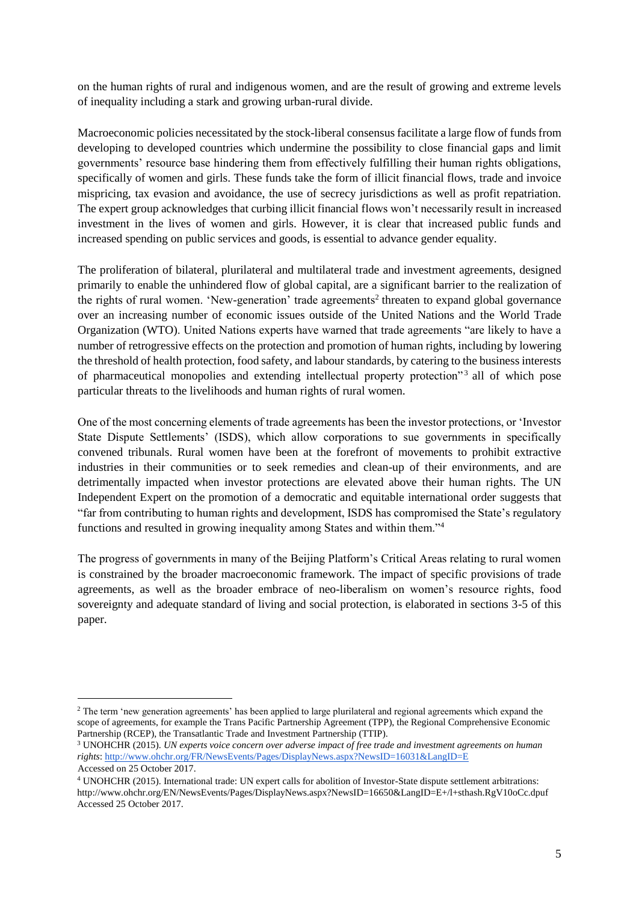on the human rights of rural and indigenous women, and are the result of growing and extreme levels of inequality including a stark and growing urban-rural divide.

Macroeconomic policies necessitated by the stock-liberal consensus facilitate a large flow of funds from developing to developed countries which undermine the possibility to close financial gaps and limit governments' resource base hindering them from effectively fulfilling their human rights obligations, specifically of women and girls. These funds take the form of illicit financial flows, trade and invoice mispricing, tax evasion and avoidance, the use of secrecy jurisdictions as well as profit repatriation. The expert group acknowledges that curbing illicit financial flows won't necessarily result in increased investment in the lives of women and girls. However, it is clear that increased public funds and increased spending on public services and goods, is essential to advance gender equality.

The proliferation of bilateral, plurilateral and multilateral trade and investment agreements, designed primarily to enable the unhindered flow of global capital, are a significant barrier to the realization of the rights of rural women. 'New-generation' trade agreements<sup>2</sup> threaten to expand global governance over an increasing number of economic issues outside of the United Nations and the World Trade Organization (WTO). United Nations experts have warned that trade agreements "are likely to have a number of retrogressive effects on the protection and promotion of human rights, including by lowering the threshold of health protection, food safety, and labour standards, by catering to the business interests of pharmaceutical monopolies and extending intellectual property protection"<sup>3</sup> all of which pose particular threats to the livelihoods and human rights of rural women.

One of the most concerning elements of trade agreements has been the investor protections, or 'Investor State Dispute Settlements' (ISDS), which allow corporations to sue governments in specifically convened tribunals. Rural women have been at the forefront of movements to prohibit extractive industries in their communities or to seek remedies and clean-up of their environments, and are detrimentally impacted when investor protections are elevated above their human rights. The UN Independent Expert on the promotion of a democratic and equitable international order suggests that "far from contributing to human rights and development, ISDS has compromised the State's regulatory functions and resulted in growing inequality among States and within them."<sup>4</sup>

The progress of governments in many of the Beijing Platform's Critical Areas relating to rural women is constrained by the broader macroeconomic framework. The impact of specific provisions of trade agreements, as well as the broader embrace of neo-liberalism on women's resource rights, food sovereignty and adequate standard of living and social protection, is elaborated in sections 3-5 of this paper.

l

<sup>&</sup>lt;sup>2</sup> The term 'new generation agreements' has been applied to large plurilateral and regional agreements which expand the scope of agreements, for example the Trans Pacific Partnership Agreement (TPP), the Regional Comprehensive Economic Partnership (RCEP), the Transatlantic Trade and Investment Partnership (TTIP).

<sup>3</sup> UNOHCHR (2015). *UN experts voice concern over adverse impact of free trade and investment agreements on human rights*:<http://www.ohchr.org/FR/NewsEvents/Pages/DisplayNews.aspx?NewsID=16031&LangID=E> Accessed on 25 October 2017.

<sup>4</sup> UNOHCHR (2015). International trade: UN expert calls for abolition of Investor-State dispute settlement arbitrations: http://www.ohchr.org/EN/NewsEvents/Pages/DisplayNews.aspx?NewsID=16650&LangID=E+/l+sthash.RgV10oCc.dpuf Accessed 25 October 2017.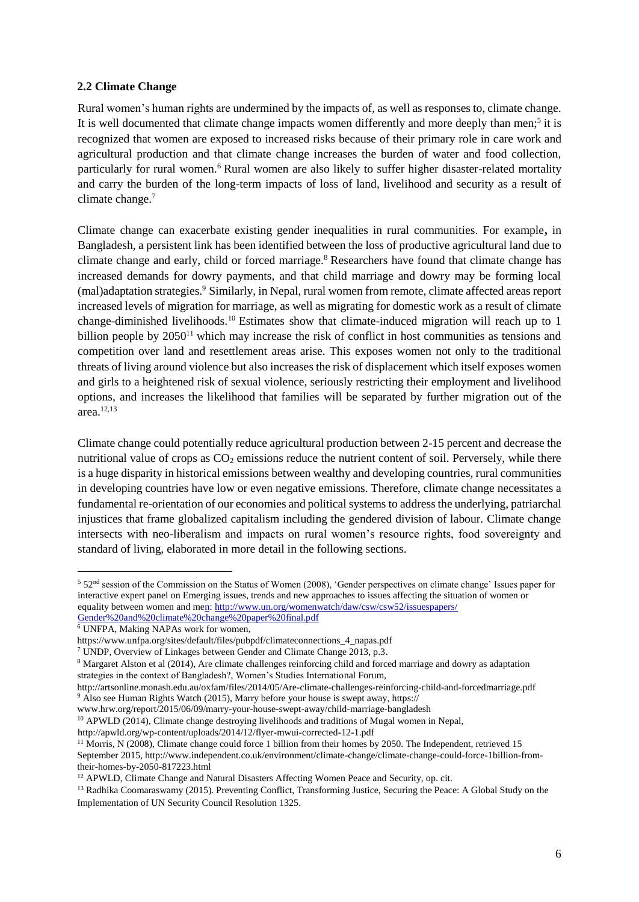#### <span id="page-5-0"></span>**2.2 Climate Change**

Rural women's human rights are undermined by the impacts of, as well as responses to, climate change. It is well documented that climate change impacts women differently and more deeply than men;<sup>5</sup> it is recognized that women are exposed to increased risks because of their primary role in care work and agricultural production and that climate change increases the burden of water and food collection, particularly for rural women.<sup>6</sup> Rural women are also likely to suffer higher disaster-related mortality and carry the burden of the long-term impacts of loss of land, livelihood and security as a result of climate change.<sup>7</sup>

Climate change can exacerbate existing gender inequalities in rural communities. For example**,** in Bangladesh, a persistent link has been identified between the loss of productive agricultural land due to climate change and early, child or forced marriage.<sup>8</sup> Researchers have found that climate change has increased demands for dowry payments, and that child marriage and dowry may be forming local (mal)adaptation strategies.<sup>9</sup> Similarly, in Nepal, rural women from remote, climate affected areas report increased levels of migration for marriage, as well as migrating for domestic work as a result of climate change-diminished livelihoods.<sup>10</sup> Estimates show that climate-induced migration will reach up to 1 billion people by  $2050<sup>11</sup>$  which may increase the risk of conflict in host communities as tensions and competition over land and resettlement areas arise. This exposes women not only to the traditional threats of living around violence but also increases the risk of displacement which itself exposes women and girls to a heightened risk of sexual violence, seriously restricting their employment and livelihood options, and increases the likelihood that families will be separated by further migration out of the area.12,13

Climate change could potentially reduce agricultural production between 2-15 percent and decrease the nutritional value of crops as  $CO<sub>2</sub>$  emissions reduce the nutrient content of soil. Perversely, while there is a huge disparity in historical emissions between wealthy and developing countries, rural communities in developing countries have low or even negative emissions. Therefore, climate change necessitates a fundamental re-orientation of our economies and political systems to address the underlying, patriarchal injustices that frame globalized capitalism including the gendered division of labour. Climate change intersects with neo-liberalism and impacts on rural women's resource rights, food sovereignty and standard of living, elaborated in more detail in the following sections.

 $\overline{a}$ 

<sup>5</sup> 52nd session of the Commission on the Status of Women (2008), 'Gender perspectives on climate change' Issues paper for interactive expert panel on Emerging issues, trends and new approaches to issues affecting the situation of women or equality between women and m[en: http://www.un.org/womenwatch/daw/csw/csw52/issuespapers/](http://www.un.org/womenwatch/daw/csw/csw52/issuespapers/Gender%20and%20climate%20change%20paper%20final.pdf)  [Gender%20and%20climate%20change%20paper%20final.pdf](http://www.un.org/womenwatch/daw/csw/csw52/issuespapers/Gender%20and%20climate%20change%20paper%20final.pdf)

 $6$  UNFPA, Making NAPAs work for women,

https://www.unfpa.org/sites/default/files/pubpdf/climateconnections\_4\_napas.pdf

<sup>7</sup> UNDP, Overview of Linkages between Gender and Climate Change 2013, p.3.

<sup>8</sup> Margaret Alston et al (2014), Are climate challenges reinforcing child and forced marriage and dowry as adaptation strategies in the context of Bangladesh?, Women's Studies International Forum,

http://artsonline.monash.edu.au/oxfam/files/2014/05/Are-climate-challenges-reinforcing-child-and-forcedmarriage.pdf <sup>9</sup> Also see Human Rights Watch (2015), Marry before your house is swept away, https://

www.hrw.org/report/2015/06/09/marry-your-house-swept-away/child-marriage-bangladesh

<sup>&</sup>lt;sup>10</sup> APWLD (2014), Climate change destroying livelihoods and traditions of Mugal women in Nepal,

http://apwld.org/wp-content/uploads/2014/12/flyer-mwui-corrected-12-1.pdf

<sup>&</sup>lt;sup>11</sup> Morris, N (2008), Climate change could force 1 billion from their homes by 2050. The Independent, retrieved 15 September 2015, http://www.independent.co.uk/environment/climate-change/climate-change-could-force-1billion-fromtheir-homes-by-2050-817223.html

<sup>&</sup>lt;sup>12</sup> APWLD, Climate Change and Natural Disasters Affecting Women Peace and Security, op. cit.

<sup>&</sup>lt;sup>13</sup> Radhika Coomaraswamy (2015). Preventing Conflict, Transforming Justice, Securing the Peace: A Global Study on the Implementation of UN Security Council Resolution 1325.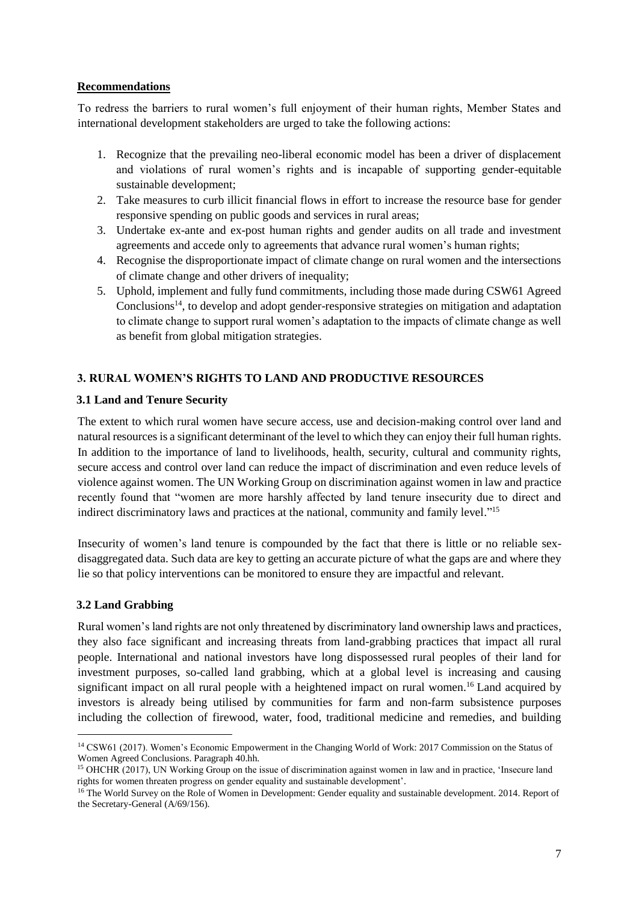### <span id="page-6-0"></span>**Recommendations**

To redress the barriers to rural women's full enjoyment of their human rights, Member States and international development stakeholders are urged to take the following actions:

- 1. Recognize that the prevailing neo-liberal economic model has been a driver of displacement and violations of rural women's rights and is incapable of supporting gender-equitable sustainable development;
- 2. Take measures to curb illicit financial flows in effort to increase the resource base for gender responsive spending on public goods and services in rural areas;
- 3. Undertake ex-ante and ex-post human rights and gender audits on all trade and investment agreements and accede only to agreements that advance rural women's human rights;
- 4. Recognise the disproportionate impact of climate change on rural women and the intersections of climate change and other drivers of inequality;
- 5. Uphold, implement and fully fund commitments, including those made during CSW61 Agreed Conclusions<sup>14</sup>, to develop and adopt gender-responsive strategies on mitigation and adaptation to climate change to support rural women's adaptation to the impacts of climate change as well as benefit from global mitigation strategies.

# <span id="page-6-1"></span>**3. RURAL WOMEN'S RIGHTS TO LAND AND PRODUCTIVE RESOURCES**

### <span id="page-6-2"></span>**3.1 Land and Tenure Security**

The extent to which rural women have secure access, use and decision-making control over land and natural resources is a significant determinant of the level to which they can enjoy their full human rights. In addition to the importance of land to livelihoods, health, security, cultural and community rights, secure access and control over land can reduce the impact of discrimination and even reduce levels of violence against women. The UN Working Group on discrimination against women in law and practice recently found that "women are more harshly affected by land tenure insecurity due to direct and indirect discriminatory laws and practices at the national, community and family level."<sup>15</sup>

Insecurity of women's land tenure is compounded by the fact that there is little or no reliable sexdisaggregated data. Such data are key to getting an accurate picture of what the gaps are and where they lie so that policy interventions can be monitored to ensure they are impactful and relevant.

#### <span id="page-6-3"></span>**3.2 Land Grabbing**

l

Rural women's land rights are not only threatened by discriminatory land ownership laws and practices, they also face significant and increasing threats from land-grabbing practices that impact all rural people. International and national investors have long dispossessed rural peoples of their land for investment purposes, so-called land grabbing, which at a global level is increasing and causing significant impact on all rural people with a heightened impact on rural women. <sup>16</sup> Land acquired by investors is already being utilised by communities for farm and non-farm subsistence purposes including the collection of firewood, water, food, traditional medicine and remedies, and building

<sup>14</sup> CSW61 (2017). Women's Economic Empowerment in the Changing World of Work: 2017 Commission on the Status of Women Agreed Conclusions. Paragraph 40.hh.

<sup>15</sup> OHCHR (2017), UN Working Group on the issue of discrimination against women in law and in practice, 'Insecure land rights for women threaten progress on gender equality and sustainable development'.

<sup>&</sup>lt;sup>16</sup> The World Survey on the Role of Women in Development: Gender equality and sustainable development. 2014. Report of the Secretary-General (A/69/156).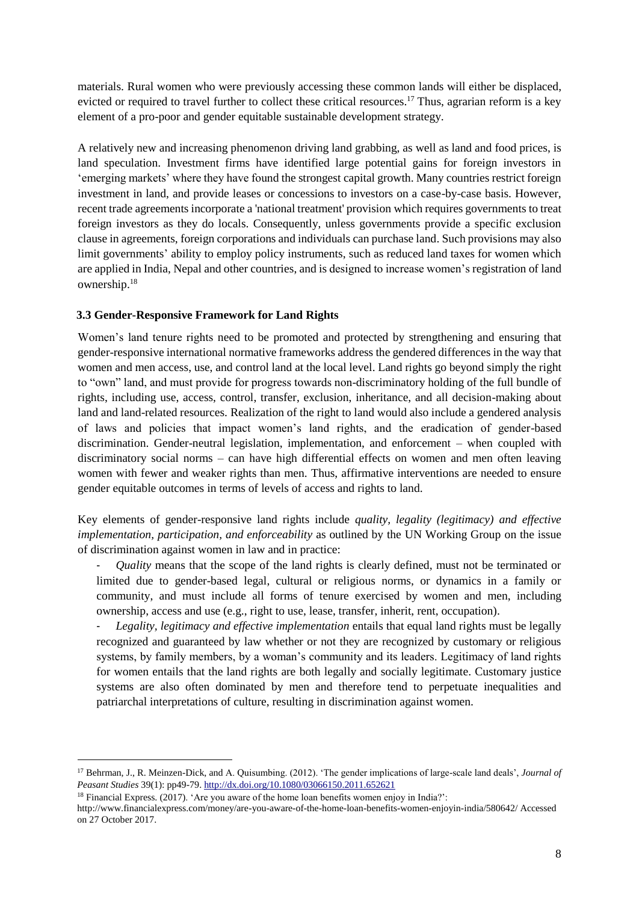materials. Rural women who were previously accessing these common lands will either be displaced, evicted or required to travel further to collect these critical resources.<sup>17</sup> Thus, agrarian reform is a key element of a pro-poor and gender equitable sustainable development strategy.

A relatively new and increasing phenomenon driving land grabbing, as well as land and food prices, is land speculation. Investment firms have identified large potential gains for foreign investors in 'emerging markets' where they have found the strongest capital growth. Many countries restrict foreign investment in land, and provide leases or concessions to investors on a case-by-case basis. However, recent trade agreements incorporate a 'national treatment' provision which requires governments to treat foreign investors as they do locals. Consequently, unless governments provide a specific exclusion clause in agreements, foreign corporations and individuals can purchase land. Such provisions may also limit governments' ability to employ policy instruments, such as reduced land taxes for women which are applied in India, Nepal and other countries, and is designed to increase women's registration of land ownership.<sup>18</sup>

# <span id="page-7-0"></span>**3.3 Gender-Responsive Framework for Land Rights**

Women's land tenure rights need to be promoted and protected by strengthening and ensuring that gender-responsive international normative frameworks address the gendered differences in the way that women and men access, use, and control land at the local level. Land rights go beyond simply the right to "own" land, and must provide for progress towards non-discriminatory holding of the full bundle of rights, including use, access, control, transfer, exclusion, inheritance, and all decision-making about land and land-related resources. Realization of the right to land would also include a gendered analysis of laws and policies that impact women's land rights, and the eradication of gender-based discrimination. Gender-neutral legislation, implementation, and enforcement – when coupled with discriminatory social norms – can have high differential effects on women and men often leaving women with fewer and weaker rights than men. Thus, affirmative interventions are needed to ensure gender equitable outcomes in terms of levels of access and rights to land.

Key elements of gender-responsive land rights include *quality, legality (legitimacy) and effective implementation, participation, and enforceability* as outlined by the UN Working Group on the issue of discrimination against women in law and in practice:

- *Quality* means that the scope of the land rights is clearly defined, must not be terminated or limited due to gender-based legal, cultural or religious norms, or dynamics in a family or community, and must include all forms of tenure exercised by women and men, including ownership, access and use (e.g., right to use, lease, transfer, inherit, rent, occupation).
- *Legality, legitimacy and effective implementation* entails that equal land rights must be legally recognized and guaranteed by law whether or not they are recognized by customary or religious systems, by family members, by a woman's community and its leaders. Legitimacy of land rights for women entails that the land rights are both legally and socially legitimate. Customary justice systems are also often dominated by men and therefore tend to perpetuate inequalities and patriarchal interpretations of culture, resulting in discrimination against women.

l

<sup>17</sup> Behrman, J., R. Meinzen-Dick, and A. Quisumbing. (2012). 'The gender implications of large-scale land deals', *Journal of Peasant Studies* 39(1): pp49-79[. http://dx.doi.org/10.1080/03066150.2011.652621](http://dx.doi.org/10.1080/03066150.2011.652621)

<sup>&</sup>lt;sup>18</sup> Financial Express. (2017). 'Are you aware of the home loan benefits women enjoy in India?':

http://www.financialexpress.com/money/are-you-aware-of-the-home-loan-benefits-women-enjoyin-india/580642/ Accessed on 27 October 2017.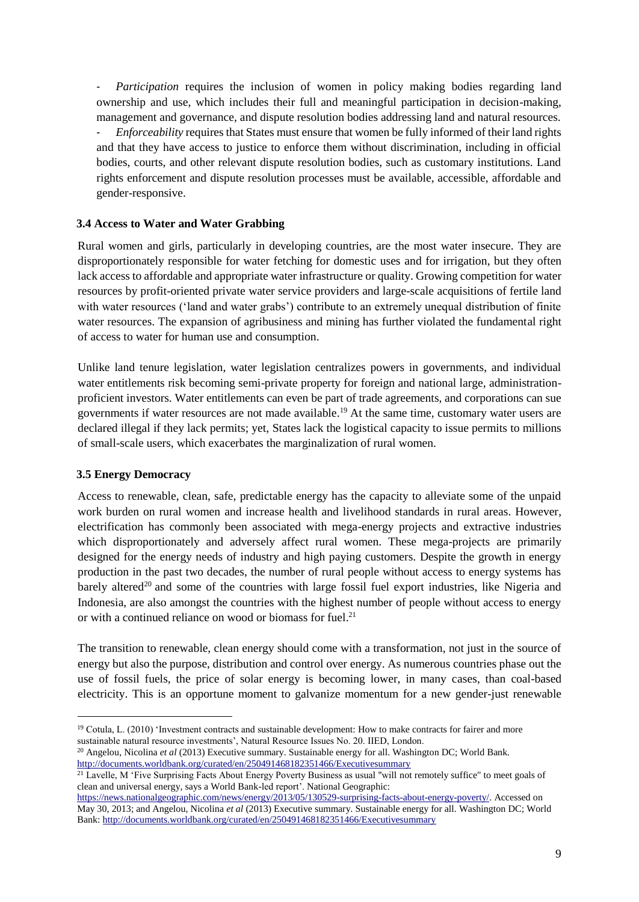- *Participation* requires the inclusion of women in policy making bodies regarding land ownership and use, which includes their full and meaningful participation in decision-making, management and governance, and dispute resolution bodies addressing land and natural resources. - *Enforceability* requires that States must ensure that women be fully informed of their land rights and that they have access to justice to enforce them without discrimination, including in official bodies, courts, and other relevant dispute resolution bodies, such as customary institutions. Land rights enforcement and dispute resolution processes must be available, accessible, affordable and gender-responsive.

### <span id="page-8-0"></span>**3.4 Access to Water and Water Grabbing**

Rural women and girls, particularly in developing countries, are the most water insecure. They are disproportionately responsible for water fetching for domestic uses and for irrigation, but they often lack access to affordable and appropriate water infrastructure or quality. Growing competition for water resources by profit-oriented private water service providers and large-scale acquisitions of fertile land with water resources ('land and water grabs') contribute to an extremely unequal distribution of finite water resources. The expansion of agribusiness and mining has further violated the fundamental right of access to water for human use and consumption.

Unlike land tenure legislation, water legislation centralizes powers in governments, and individual water entitlements risk becoming semi-private property for foreign and national large, administrationproficient investors. Water entitlements can even be part of trade agreements, and corporations can sue governments if water resources are not made available. <sup>19</sup> At the same time, customary water users are declared illegal if they lack permits; yet, States lack the logistical capacity to issue permits to millions of small-scale users, which exacerbates the marginalization of rural women.

# <span id="page-8-1"></span>**3.5 Energy Democracy**

 $\overline{a}$ 

Access to renewable, clean, safe, predictable energy has the capacity to alleviate some of the unpaid work burden on rural women and increase health and livelihood standards in rural areas. However, electrification has commonly been associated with mega-energy projects and extractive industries which disproportionately and adversely affect rural women. These mega-projects are primarily designed for the energy needs of industry and high paying customers. Despite the growth in energy production in the past two decades, the number of rural people without access to energy systems has barely altered<sup>20</sup> and some of the countries with large fossil fuel export industries, like Nigeria and Indonesia, are also amongst the countries with the highest number of people without access to energy or with a continued reliance on wood or biomass for fuel. 21

The transition to renewable, clean energy should come with a transformation, not just in the source of energy but also the purpose, distribution and control over energy. As numerous countries phase out the use of fossil fuels, the price of solar energy is becoming lower, in many cases, than coal-based electricity. This is an opportune moment to galvanize momentum for a new gender-just renewable

<sup>&</sup>lt;sup>19</sup> Cotula, L. (2010) 'Investment contracts and sustainable development: How to make contracts for fairer and more sustainable natural resource investments', Natural Resource Issues No. 20. IIED, London.

<sup>&</sup>lt;sup>20</sup> Angelou, Nicolina *et al* (2013) Executive summary. Sustainable energy for all. Washington DC; World Bank. <http://documents.worldbank.org/curated/en/250491468182351466/Executivesummary>

 $21$  Lavelle, M 'Five Surprising Facts About Energy Poverty Business as usual "will not remotely suffice" to meet goals of clean and universal energy, says a World Bank-led report'. National Geographic:

[https://news.nationalgeographic.com/news/energy/2013/05/130529-surprising-facts-about-energy-poverty/.](https://news.nationalgeographic.com/news/energy/2013/05/130529-surprising-facts-about-energy-poverty/) Accessed on May 30, 2013; and Angelou, Nicolina *et al* (2013) Executive summary. Sustainable energy for all. Washington DC; World Bank[: http://documents.worldbank.org/curated/en/250491468182351466/Executivesummary](http://documents.worldbank.org/curated/en/250491468182351466/Executivesummary)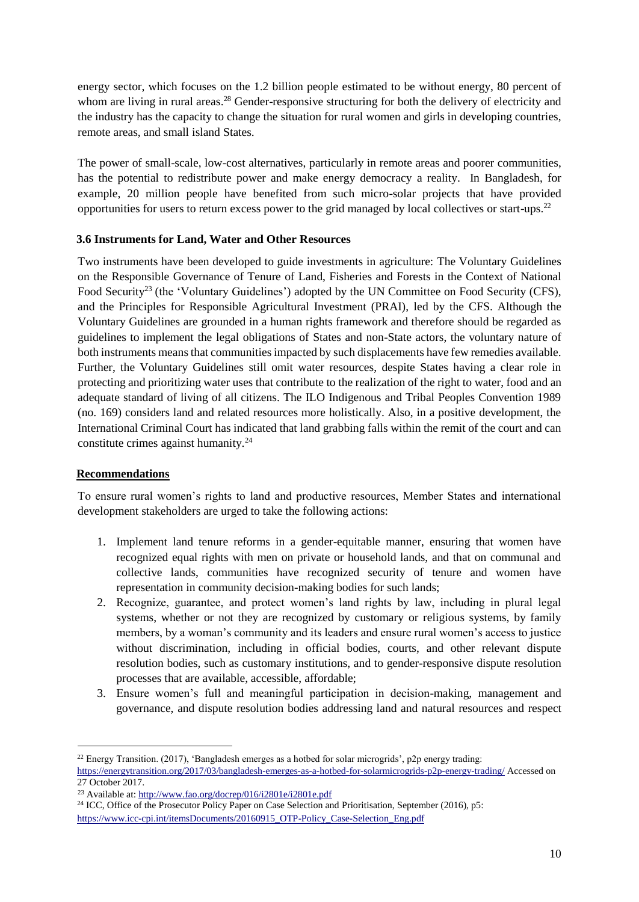energy sector, which focuses on the 1.2 billion people estimated to be without energy, 80 percent of whom are living in rural areas.<sup>28</sup> Gender-responsive structuring for both the delivery of electricity and the industry has the capacity to change the situation for rural women and girls in developing countries, remote areas, and small island States.

The power of small-scale, low-cost alternatives, particularly in remote areas and poorer communities, has the potential to redistribute power and make energy democracy a reality. In Bangladesh, for example, 20 million people have benefited from such micro-solar projects that have provided opportunities for users to return excess power to the grid managed by local collectives or start-ups.<sup>22</sup>

# <span id="page-9-0"></span>**3.6 Instruments for Land, Water and Other Resources**

Two instruments have been developed to guide investments in agriculture: The Voluntary Guidelines on the Responsible Governance of Tenure of Land, Fisheries and Forests in the Context of National Food Security<sup>23</sup> (the 'Voluntary Guidelines') adopted by the UN Committee on Food Security (CFS), and the Principles for Responsible Agricultural Investment (PRAI), led by the CFS. Although the Voluntary Guidelines are grounded in a human rights framework and therefore should be regarded as guidelines to implement the legal obligations of States and non-State actors, the voluntary nature of both instruments means that communities impacted by such displacements have few remedies available. Further, the Voluntary Guidelines still omit water resources, despite States having a clear role in protecting and prioritizing water uses that contribute to the realization of the right to water, food and an adequate standard of living of all citizens. The ILO Indigenous and Tribal Peoples Convention 1989 (no. 169) considers land and related resources more holistically. Also, in a positive development, the International Criminal Court has indicated that land grabbing falls within the remit of the court and can constitute crimes against humanity.<sup>24</sup>

# <span id="page-9-1"></span>**Recommendations**

 $\overline{a}$ 

To ensure rural women's rights to land and productive resources, Member States and international development stakeholders are urged to take the following actions:

- 1. Implement land tenure reforms in a gender-equitable manner, ensuring that women have recognized equal rights with men on private or household lands, and that on communal and collective lands, communities have recognized security of tenure and women have representation in community decision-making bodies for such lands;
- 2. Recognize, guarantee, and protect women's land rights by law, including in plural legal systems, whether or not they are recognized by customary or religious systems, by family members, by a woman's community and its leaders and ensure rural women's access to justice without discrimination, including in official bodies, courts, and other relevant dispute resolution bodies, such as customary institutions, and to gender-responsive dispute resolution processes that are available, accessible, affordable;
- 3. Ensure women's full and meaningful participation in decision-making, management and governance, and dispute resolution bodies addressing land and natural resources and respect

<sup>22</sup> Energy Transition. (2017), 'Bangladesh emerges as a hotbed for solar microgrids', p2p energy trading:

<https://energytransition.org/2017/03/bangladesh-emerges-as-a-hotbed-for-solarmicrogrids-p2p-energy-trading/> Accessed on 27 October 2017.

<sup>23</sup> Available at:<http://www.fao.org/docrep/016/i2801e/i2801e.pdf>

<sup>&</sup>lt;sup>24</sup> ICC, Office of the Prosecutor Policy Paper on Case Selection and Prioritisation, September (2016), p5: [https://www.icc-cpi.int/itemsDocuments/20160915\\_OTP-Policy\\_Case-Selection\\_Eng.pdf](https://www.icc-cpi.int/itemsDocuments/20160915_OTP-Policy_Case-Selection_Eng.pdf)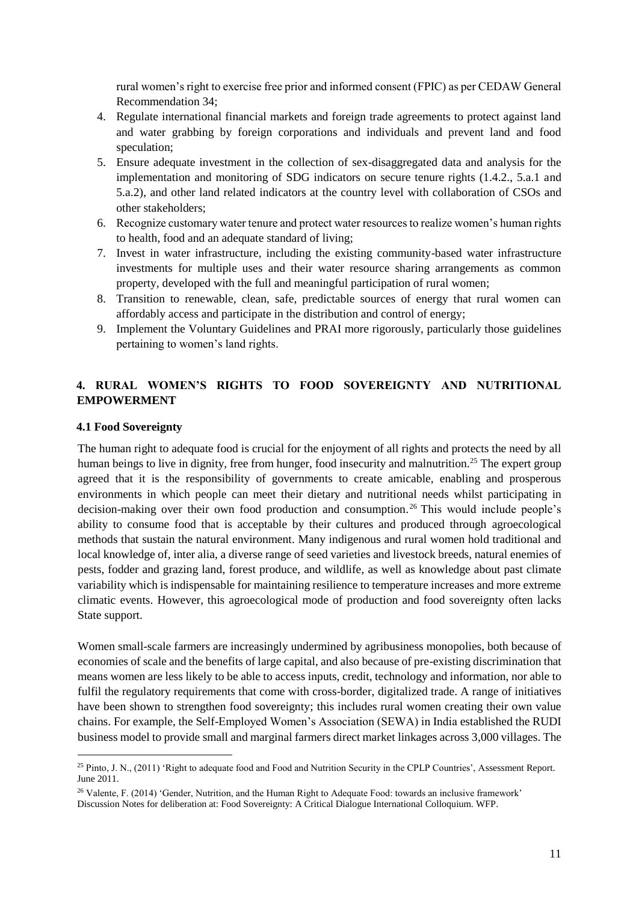rural women's right to exercise free prior and informed consent (FPIC) as per CEDAW General Recommendation 34;

- 4. Regulate international financial markets and foreign trade agreements to protect against land and water grabbing by foreign corporations and individuals and prevent land and food speculation;
- 5. Ensure adequate investment in the collection of sex-disaggregated data and analysis for the implementation and monitoring of SDG indicators on secure tenure rights (1.4.2., 5.a.1 and 5.a.2), and other land related indicators at the country level with collaboration of CSOs and other stakeholders;
- 6. Recognize customary water tenure and protect water resources to realize women's human rights to health, food and an adequate standard of living;
- 7. Invest in water infrastructure, including the existing community-based water infrastructure investments for multiple uses and their water resource sharing arrangements as common property, developed with the full and meaningful participation of rural women;
- 8. Transition to renewable, clean, safe, predictable sources of energy that rural women can affordably access and participate in the distribution and control of energy;
- 9. Implement the Voluntary Guidelines and PRAI more rigorously, particularly those guidelines pertaining to women's land rights.

# <span id="page-10-0"></span>**4. RURAL WOMEN'S RIGHTS TO FOOD SOVEREIGNTY AND NUTRITIONAL EMPOWERMENT**

#### <span id="page-10-1"></span>**4.1 Food Sovereignty**

 $\overline{a}$ 

The human right to adequate food is crucial for the enjoyment of all rights and protects the need by all human beings to live in dignity, free from hunger, food insecurity and malnutrition.<sup>25</sup> The expert group agreed that it is the responsibility of governments to create amicable, enabling and prosperous environments in which people can meet their dietary and nutritional needs whilst participating in decision-making over their own food production and consumption. <sup>26</sup> This would include people's ability to consume food that is acceptable by their cultures and produced through agroecological methods that sustain the natural environment. Many indigenous and rural women hold traditional and local knowledge of, inter alia, a diverse range of seed varieties and livestock breeds, natural enemies of pests, fodder and grazing land, forest produce, and wildlife, as well as knowledge about past climate variability which is indispensable for maintaining resilience to temperature increases and more extreme climatic events. However, this agroecological mode of production and food sovereignty often lacks State support.

Women small-scale farmers are increasingly undermined by agribusiness monopolies, both because of economies of scale and the benefits of large capital, and also because of pre-existing discrimination that means women are less likely to be able to access inputs, credit, technology and information, nor able to fulfil the regulatory requirements that come with cross-border, digitalized trade. A range of initiatives have been shown to strengthen food sovereignty; this includes rural women creating their own value chains. For example, the Self-Employed Women's Association (SEWA) in India established the RUDI business model to provide small and marginal farmers direct market linkages across 3,000 villages. The

<sup>&</sup>lt;sup>25</sup> Pinto, J. N., (2011) 'Right to adequate food and Food and Nutrition Security in the CPLP Countries', Assessment Report. June 2011.

<sup>&</sup>lt;sup>26</sup> Valente, F. (2014) 'Gender, Nutrition, and the Human Right to Adequate Food: towards an inclusive framework' Discussion Notes for deliberation at: Food Sovereignty: A Critical Dialogue International Colloquium. WFP.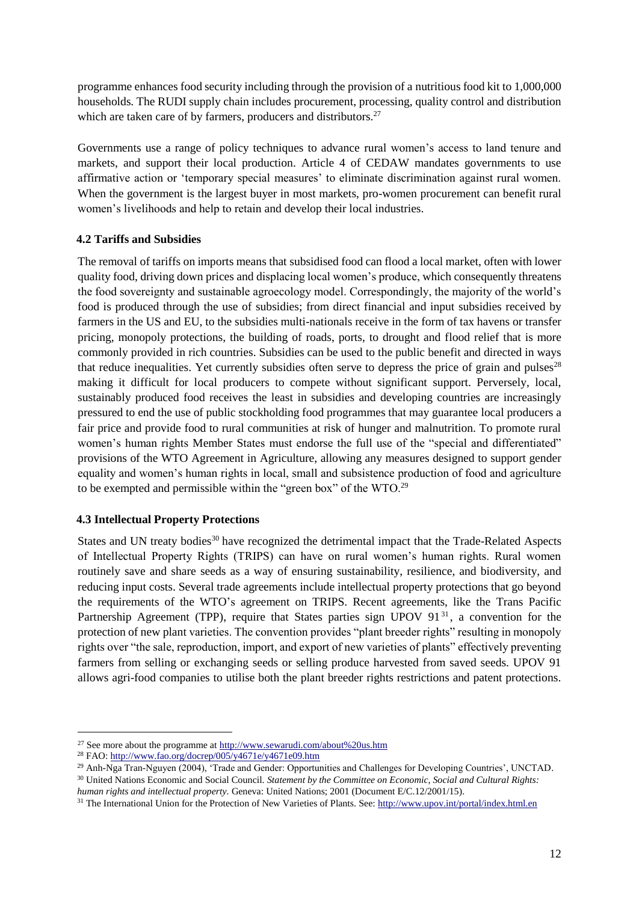programme enhances food security including through the provision of a nutritious food kit to 1,000,000 households. The RUDI supply chain includes procurement, processing, quality control and distribution which are taken care of by farmers, producers and distributors.<sup>27</sup>

Governments use a range of policy techniques to advance rural women's access to land tenure and markets, and support their local production. Article 4 of CEDAW mandates governments to use affirmative action or 'temporary special measures' to eliminate discrimination against rural women. When the government is the largest buyer in most markets, pro-women procurement can benefit rural women's livelihoods and help to retain and develop their local industries.

# <span id="page-11-0"></span>**4.2 Tariffs and Subsidies**

The removal of tariffs on imports means that subsidised food can flood a local market, often with lower quality food, driving down prices and displacing local women's produce, which consequently threatens the food sovereignty and sustainable agroecology model. Correspondingly, the majority of the world's food is produced through the use of subsidies; from direct financial and input subsidies received by farmers in the US and EU, to the subsidies multi-nationals receive in the form of tax havens or transfer pricing, monopoly protections, the building of roads, ports, to drought and flood relief that is more commonly provided in rich countries. Subsidies can be used to the public benefit and directed in ways that reduce inequalities. Yet currently subsidies often serve to depress the price of grain and pulses<sup>28</sup> making it difficult for local producers to compete without significant support. Perversely, local, sustainably produced food receives the least in subsidies and developing countries are increasingly pressured to end the use of public stockholding food programmes that may guarantee local producers a fair price and provide food to rural communities at risk of hunger and malnutrition. To promote rural women's human rights Member States must endorse the full use of the "special and differentiated" provisions of the WTO Agreement in Agriculture, allowing any measures designed to support gender equality and women's human rights in local, small and subsistence production of food and agriculture to be exempted and permissible within the "green box" of the WTO.<sup>29</sup>

#### <span id="page-11-1"></span>**4.3 Intellectual Property Protections**

States and UN treaty bodies<sup>30</sup> have recognized the detrimental impact that the Trade-Related Aspects of Intellectual Property Rights (TRIPS) can have on rural women's human rights. Rural women routinely save and share seeds as a way of ensuring sustainability, resilience, and biodiversity, and reducing input costs. Several trade agreements include intellectual property protections that go beyond the requirements of the WTO's agreement on TRIPS. Recent agreements, like the Trans Pacific Partnership Agreement (TPP), require that States parties sign UPOV  $91<sup>31</sup>$ , a convention for the protection of new plant varieties. The convention provides "plant breeder rights" resulting in monopoly rights over "the sale, reproduction, import, and export of new varieties of plants" effectively preventing farmers from selling or exchanging seeds or selling produce harvested from saved seeds. UPOV 91 allows agri-food companies to utilise both the plant breeder rights restrictions and patent protections.

l

<sup>&</sup>lt;sup>27</sup> See more about the programme a[t http://www.sewarudi.com/about%20us.htm](http://www.sewarudi.com/about%20us.htm)

<sup>&</sup>lt;sup>28</sup> FAO: http://www.fao.org/docrep/005/y4671e/y4671e09.htm

<sup>&</sup>lt;sup>29</sup> Anh-Nga Tran-Nguyen (2004), 'Trade and Gender: Opportunities and Challenges for Developing Countries', UNCTAD.

<sup>&</sup>lt;sup>30</sup> United Nations Economic and Social Council. *Statement by the Committee on Economic, Social and Cultural Rights: human rights and intellectual property.* Geneva: United Nations; 2001 (Document E/C.12/2001/15).

<sup>&</sup>lt;sup>31</sup> The International Union for the Protection of New Varieties of Plants. See[: http://www.upov.int/portal/index.html.en](http://www.upov.int/portal/index.html.en)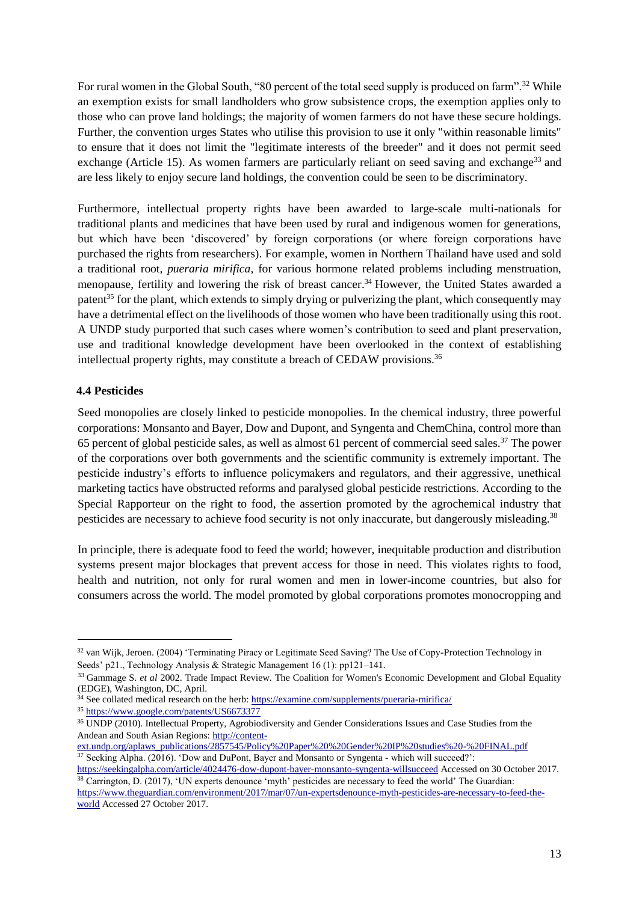For rural women in the Global South, "80 percent of the total seed supply is produced on farm".<sup>32</sup> While an exemption exists for small landholders who grow subsistence crops, the exemption applies only to those who can prove land holdings; the majority of women farmers do not have these secure holdings. Further, the convention urges States who utilise this provision to use it only "within reasonable limits" to ensure that it does not limit the "legitimate interests of the breeder" and it does not permit seed exchange (Article 15). As women farmers are particularly reliant on seed saving and exchange<sup>33</sup> and are less likely to enjoy secure land holdings, the convention could be seen to be discriminatory.

Furthermore, intellectual property rights have been awarded to large-scale multi-nationals for traditional plants and medicines that have been used by rural and indigenous women for generations, but which have been 'discovered' by foreign corporations (or where foreign corporations have purchased the rights from researchers). For example, women in Northern Thailand have used and sold a traditional root, *pueraria mirifica*, for various hormone related problems including menstruation, menopause, fertility and lowering the risk of breast cancer.<sup>34</sup> However, the United States awarded a patent<sup>35</sup> for the plant, which extends to simply drying or pulverizing the plant, which consequently may have a detrimental effect on the livelihoods of those women who have been traditionally using this root. A UNDP study purported that such cases where women's contribution to seed and plant preservation, use and traditional knowledge development have been overlooked in the context of establishing intellectual property rights, may constitute a breach of CEDAW provisions.<sup>36</sup>

# <span id="page-12-0"></span>**4.4 Pesticides**

 $\overline{a}$ 

Seed monopolies are closely linked to pesticide monopolies. In the chemical industry, three powerful corporations: Monsanto and Bayer, Dow and Dupont, and Syngenta and ChemChina, control more than 65 percent of global pesticide sales, as well as almost 61 percent of commercial seed sales.<sup>37</sup> The power of the corporations over both governments and the scientific community is extremely important. The pesticide industry's efforts to influence policymakers and regulators, and their aggressive, unethical marketing tactics have obstructed reforms and paralysed global pesticide restrictions. According to the Special Rapporteur on the right to food, the assertion promoted by the agrochemical industry that pesticides are necessary to achieve food security is not only inaccurate, but dangerously misleading.<sup>38</sup>

In principle, there is adequate food to feed the world; however, inequitable production and distribution systems present major blockages that prevent access for those in need. This violates rights to food, health and nutrition, not only for rural women and men in lower-income countries, but also for consumers across the world. The model promoted by global corporations promotes monocropping and

<sup>32</sup> van Wijk, Jeroen. (2004) 'Terminating Piracy or Legitimate Seed Saving? The Use of Copy-Protection Technology in Seeds' p21., Technology Analysis & Strategic Management 16 (1): pp121–141.

<sup>&</sup>lt;sup>33</sup> Gammage S. *et al* 2002. Trade Impact Review. The Coalition for Women's Economic Development and Global Equality (EDGE), Washington, DC, April.

<sup>&</sup>lt;sup>34</sup> See collated medical research on the herb: https://examine.com/supplements/pueraria-mirifica/

<sup>35</sup> <https://www.google.com/patents/US6673377>

<sup>36</sup> UNDP (2010). Intellectual Property, Agrobiodiversity and Gender Considerations Issues and Case Studies from the Andean and South Asian Regions: [http://content-](http://content-ext.undp.org/aplaws_publications/2857545/Policy%20Paper%20%20Gender%20IP%20studies%20-%20FINAL.pdf)

[ext.undp.org/aplaws\\_publications/2857545/Policy%20Paper%20%20Gender%20IP%20studies%20-%20FINAL.pdf](http://content-ext.undp.org/aplaws_publications/2857545/Policy%20Paper%20%20Gender%20IP%20studies%20-%20FINAL.pdf)  <sup>37</sup> Seeking Alpha. (2016). 'Dow and DuPont, Bayer and Monsanto or Syngenta - which will succeed?':

<https://seekingalpha.com/article/4024476-dow-dupont-bayer-monsanto-syngenta-willsucceed> Accessed on 30 October 2017. <sup>38</sup> Carrington, D. (2017), 'UN experts denounce 'myth' pesticides are necessary to feed the world' The Guardian:

[https://www.theguardian.com/environment/2017/mar/07/un-expertsdenounce-myth-pesticides-are-necessary-to-feed-the](https://www.theguardian.com/environment/2017/mar/07/un-expertsdenounce-myth-pesticides-are-necessary-to-feed-the-world)[world](https://www.theguardian.com/environment/2017/mar/07/un-expertsdenounce-myth-pesticides-are-necessary-to-feed-the-world) Accessed 27 October 2017.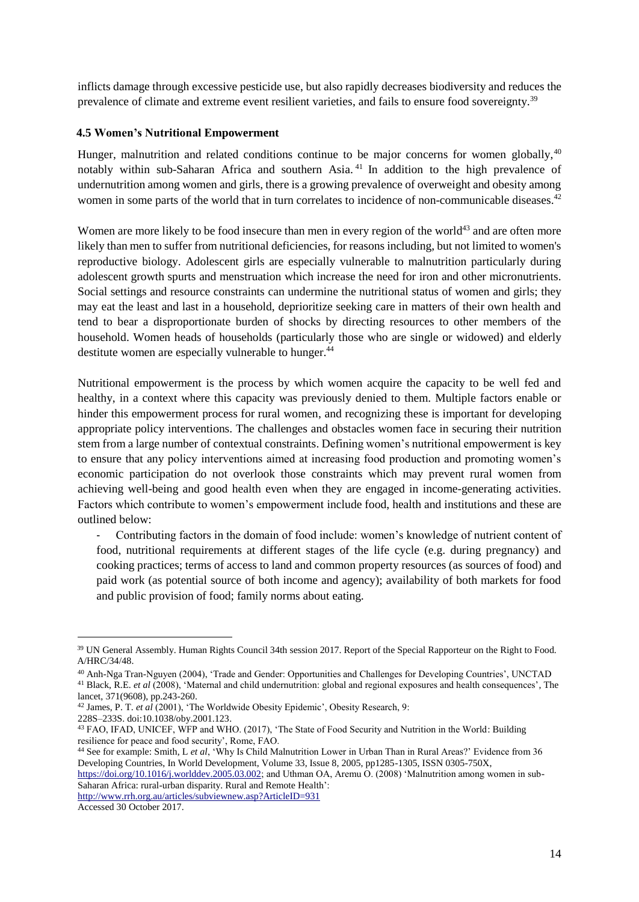inflicts damage through excessive pesticide use, but also rapidly decreases biodiversity and reduces the prevalence of climate and extreme event resilient varieties, and fails to ensure food sovereignty.<sup>39</sup>

## <span id="page-13-0"></span>**4.5 Women's Nutritional Empowerment**

Hunger, malnutrition and related conditions continue to be major concerns for women globally, $40$ notably within sub-Saharan Africa and southern Asia. <sup>41</sup> In addition to the high prevalence of undernutrition among women and girls, there is a growing prevalence of overweight and obesity among women in some parts of the world that in turn correlates to incidence of non-communicable diseases.<sup>42</sup>

Women are more likely to be food insecure than men in every region of the world<sup>43</sup> and are often more likely than men to suffer from nutritional deficiencies, for reasons including, but not limited to women's reproductive biology. Adolescent girls are especially vulnerable to malnutrition particularly during adolescent growth spurts and menstruation which increase the need for iron and other micronutrients. Social settings and resource constraints can undermine the nutritional status of women and girls; they may eat the least and last in a household, deprioritize seeking care in matters of their own health and tend to bear a disproportionate burden of shocks by directing resources to other members of the household. Women heads of households (particularly those who are single or widowed) and elderly destitute women are especially vulnerable to hunger.<sup>44</sup>

Nutritional empowerment is the process by which women acquire the capacity to be well fed and healthy, in a context where this capacity was previously denied to them. Multiple factors enable or hinder this empowerment process for rural women, and recognizing these is important for developing appropriate policy interventions. The challenges and obstacles women face in securing their nutrition stem from a large number of contextual constraints. Defining women's nutritional empowerment is key to ensure that any policy interventions aimed at increasing food production and promoting women's economic participation do not overlook those constraints which may prevent rural women from achieving well-being and good health even when they are engaged in income-generating activities. Factors which contribute to women's empowerment include food, health and institutions and these are outlined below:

- Contributing factors in the domain of food include: women's knowledge of nutrient content of food, nutritional requirements at different stages of the life cycle (e.g. during pregnancy) and cooking practices; terms of access to land and common property resources (as sources of food) and paid work (as potential source of both income and agency); availability of both markets for food and public provision of food; family norms about eating.

<http://www.rrh.org.au/articles/subviewnew.asp?ArticleID=931>

 $\overline{a}$ 

<sup>&</sup>lt;sup>39</sup> UN General Assembly. Human Rights Council 34th session 2017. Report of the Special Rapporteur on the Right to Food. A/HRC/34/48.

<sup>40</sup> Anh-Nga Tran-Nguyen (2004), 'Trade and Gender: Opportunities and Challenges for Developing Countries', UNCTAD <sup>41</sup> Black, R.E. *et al* (2008), 'Maternal and child undernutrition: global and regional exposures and health consequences', The lancet, 371(9608), pp.243-260.

<sup>&</sup>lt;sup>42</sup> James, P. T. *et al* (2001), 'The Worldwide Obesity Epidemic', Obesity Research, 9:

<sup>228</sup>S–233S. doi:10.1038/oby.2001.123.

<sup>43</sup> FAO, IFAD, UNICEF, WFP and WHO. (2017), 'The State of Food Security and Nutrition in the World: Building resilience for peace and food security', Rome, FAO.

<sup>44</sup> See for example: Smith, L *et al*, 'Why Is Child Malnutrition Lower in Urban Than in Rural Areas?' Evidence from 36 Developing Countries, In World Development, Volume 33, Issue 8, 2005, pp1285-1305, ISSN 0305-750X,

[https://doi.org/10.1016/j.worlddev.2005.03.002;](https://doi.org/10.1016/j.worlddev.2005.03.002) and Uthman OA, Aremu O. (2008) 'Malnutrition among women in sub-Saharan Africa: rural-urban disparity. Rural and Remote Health':

Accessed 30 October 2017.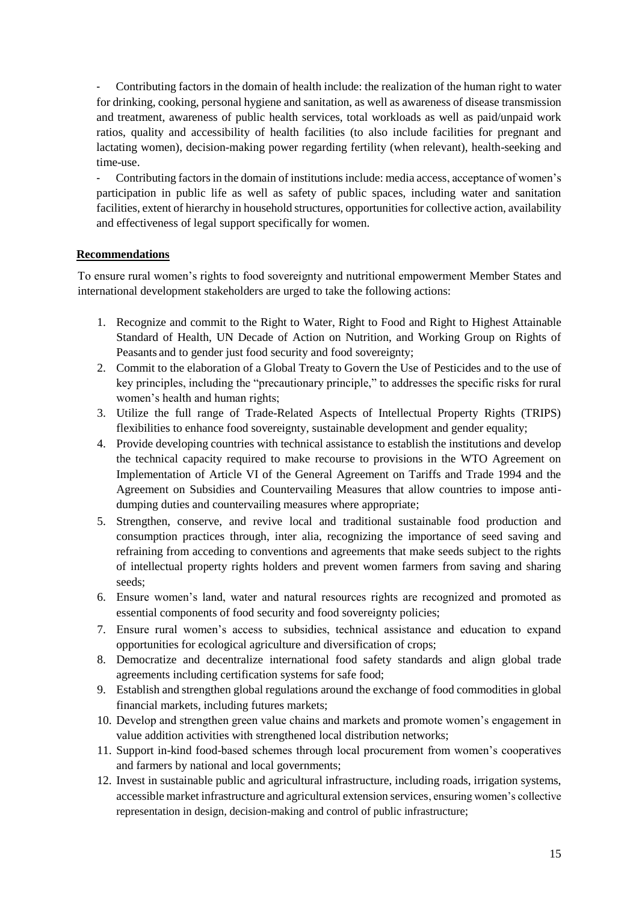- Contributing factors in the domain of health include: the realization of the human right to water for drinking, cooking, personal hygiene and sanitation, as well as awareness of disease transmission and treatment, awareness of public health services, total workloads as well as paid/unpaid work ratios, quality and accessibility of health facilities (to also include facilities for pregnant and lactating women), decision-making power regarding fertility (when relevant), health-seeking and time-use.

- Contributing factors in the domain of institutions include: media access, acceptance of women's participation in public life as well as safety of public spaces, including water and sanitation facilities, extent of hierarchy in household structures, opportunities for collective action, availability and effectiveness of legal support specifically for women.

# <span id="page-14-0"></span>**Recommendations**

To ensure rural women's rights to food sovereignty and nutritional empowerment Member States and international development stakeholders are urged to take the following actions:

- 1. Recognize and commit to the Right to Water, Right to Food and Right to Highest Attainable Standard of Health, UN Decade of Action on Nutrition, and Working Group on Rights of Peasants and to gender just food security and food sovereignty;
- 2. Commit to the elaboration of a Global Treaty to Govern the Use of Pesticides and to the use of key principles, including the "precautionary principle," to addresses the specific risks for rural women's health and human rights;
- 3. Utilize the full range of Trade-Related Aspects of Intellectual Property Rights (TRIPS) flexibilities to enhance food sovereignty, sustainable development and gender equality;
- 4. Provide developing countries with technical assistance to establish the institutions and develop the technical capacity required to make recourse to provisions in the WTO Agreement on Implementation of Article VI of the General Agreement on Tariffs and Trade 1994 and the Agreement on Subsidies and Countervailing Measures that allow countries to impose antidumping duties and countervailing measures where appropriate;
- 5. Strengthen, conserve, and revive local and traditional sustainable food production and consumption practices through, inter alia, recognizing the importance of seed saving and refraining from acceding to conventions and agreements that make seeds subject to the rights of intellectual property rights holders and prevent women farmers from saving and sharing seeds;
- 6. Ensure women's land, water and natural resources rights are recognized and promoted as essential components of food security and food sovereignty policies;
- 7. Ensure rural women's access to subsidies, technical assistance and education to expand opportunities for ecological agriculture and diversification of crops;
- 8. Democratize and decentralize international food safety standards and align global trade agreements including certification systems for safe food;
- 9. Establish and strengthen global regulations around the exchange of food commodities in global financial markets, including futures markets;
- 10. Develop and strengthen green value chains and markets and promote women's engagement in value addition activities with strengthened local distribution networks;
- 11. Support in-kind food-based schemes through local procurement from women's cooperatives and farmers by national and local governments;
- 12. Invest in sustainable public and agricultural infrastructure, including roads, irrigation systems, accessible market infrastructure and agricultural extension services, ensuring women's collective representation in design, decision-making and control of public infrastructure;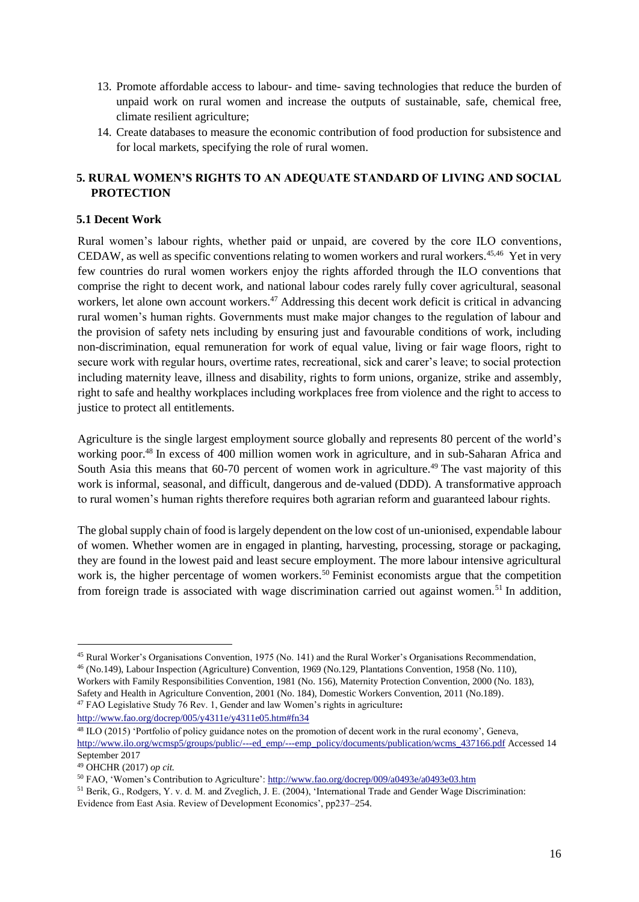- 13. Promote affordable access to labour- and time- saving technologies that reduce the burden of unpaid work on rural women and increase the outputs of sustainable, safe, chemical free, climate resilient agriculture;
- 14. Create databases to measure the economic contribution of food production for subsistence and for local markets, specifying the role of rural women.

# <span id="page-15-0"></span>**5. RURAL WOMEN'S RIGHTS TO AN ADEQUATE STANDARD OF LIVING AND SOCIAL PROTECTION**

## <span id="page-15-1"></span>**5.1 Decent Work**

Rural women's labour rights, whether paid or unpaid, are covered by the core ILO conventions, CEDAW, as well as specific conventions relating to women workers and rural workers.<sup>45,46</sup> Yet in very few countries do rural women workers enjoy the rights afforded through the ILO conventions that comprise the right to decent work, and national labour codes rarely fully cover agricultural, seasonal workers, let alone own account workers.<sup>47</sup> Addressing this decent work deficit is critical in advancing rural women's human rights. Governments must make major changes to the regulation of labour and the provision of safety nets including by ensuring just and favourable conditions of work, including non-discrimination, equal remuneration for work of equal value, living or fair wage floors, right to secure work with regular hours, overtime rates, recreational, sick and carer's leave; to social protection including maternity leave, illness and disability, rights to form unions, organize, strike and assembly, right to safe and healthy workplaces including workplaces free from violence and the right to access to justice to protect all entitlements.

Agriculture is the single largest employment source globally and represents 80 percent of the world's working poor.<sup>48</sup> In excess of 400 million women work in agriculture, and in sub-Saharan Africa and South Asia this means that 60-70 percent of women work in agriculture.<sup>49</sup> The vast majority of this work is informal, seasonal, and difficult, dangerous and de-valued (DDD). A transformative approach to rural women's human rights therefore requires both agrarian reform and guaranteed labour rights.

The global supply chain of food is largely dependent on the low cost of un-unionised, expendable labour of women. Whether women are in engaged in planting, harvesting, processing, storage or packaging, they are found in the lowest paid and least secure employment. The more labour intensive agricultural work is, the higher percentage of women workers.<sup>50</sup> Feminist economists argue that the competition from foreign trade is associated with wage discrimination carried out against women.<sup>51</sup> In addition,

<http://www.fao.org/docrep/005/y4311e/y4311e05.htm#fn34>

 $\overline{a}$ 

<sup>45</sup> Rural Worker's Organisations Convention, 1975 (No. 141) and the Rural Worker's Organisations Recommendation, <sup>46</sup> (No.149), Labour Inspection (Agriculture) Convention, 1969 (No.129, Plantations Convention, 1958 (No. 110),

Workers with Family Responsibilities Convention, 1981 (No. 156), Maternity Protection Convention, 2000 (No. 183), Safety and Health in Agriculture Convention, 2001 (No. 184), Domestic Workers Convention, 2011 (No.189). <sup>47</sup> FAO Legislative Study 76 Rev. 1, Gender and law Women's rights in agriculture**:** 

<sup>48</sup> ILO (2015) 'Portfolio of policy guidance notes on the promotion of decent work in the rural economy', Geneva, [http://www.ilo.org/wcmsp5/groups/public/---ed\\_emp/---emp\\_policy/documents/publication/wcms\\_437166.pdf](http://www.ilo.org/wcmsp5/groups/public/---ed_emp/---emp_policy/documents/publication/wcms_437166.pdf) Accessed 14 September 2017

<sup>49</sup> OHCHR (2017) *op cit.*

<sup>&</sup>lt;sup>50</sup> FAO, 'Women's Contribution to Agriculture': http://www.fao.org/docrep/009/a0493e/a0493e03.htm

<sup>51</sup> Berik, G., Rodgers, Y. v. d. M. and Zveglich, J. E. (2004), 'International Trade and Gender Wage Discrimination: Evidence from East Asia. Review of Development Economics', pp237–254.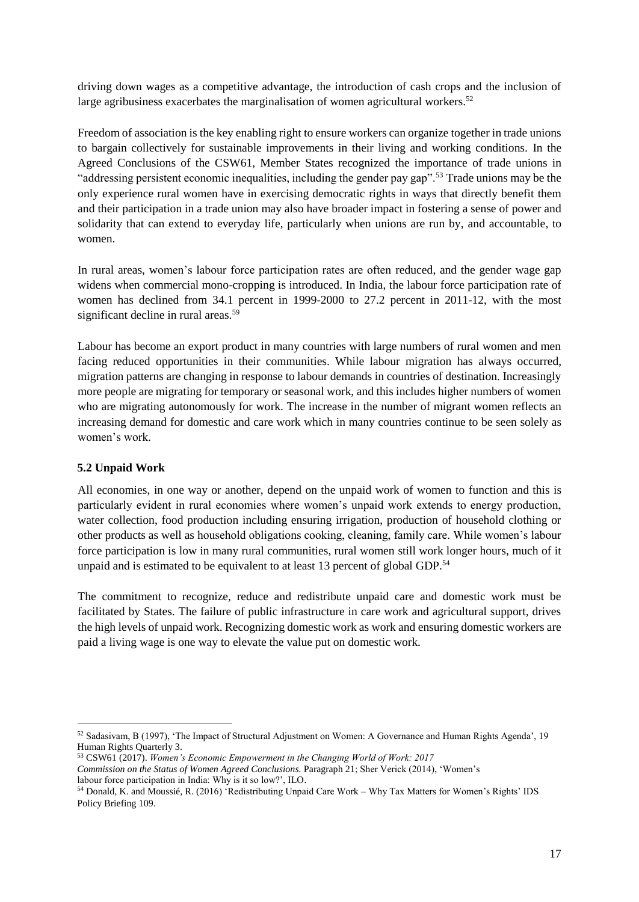driving down wages as a competitive advantage, the introduction of cash crops and the inclusion of large agribusiness exacerbates the marginalisation of women agricultural workers.<sup>52</sup>

Freedom of association is the key enabling right to ensure workers can organize together in trade unions to bargain collectively for sustainable improvements in their living and working conditions. In the Agreed Conclusions of the CSW61, Member States recognized the importance of trade unions in "addressing persistent economic inequalities, including the gender pay gap".<sup>53</sup> Trade unions may be the only experience rural women have in exercising democratic rights in ways that directly benefit them and their participation in a trade union may also have broader impact in fostering a sense of power and solidarity that can extend to everyday life, particularly when unions are run by, and accountable, to women.

In rural areas, women's labour force participation rates are often reduced, and the gender wage gap widens when commercial mono-cropping is introduced. In India, the labour force participation rate of women has declined from 34.1 percent in 1999-2000 to 27.2 percent in 2011-12, with the most significant decline in rural areas.<sup>59</sup>

Labour has become an export product in many countries with large numbers of rural women and men facing reduced opportunities in their communities. While labour migration has always occurred, migration patterns are changing in response to labour demands in countries of destination. Increasingly more people are migrating for temporary or seasonal work, and this includes higher numbers of women who are migrating autonomously for work. The increase in the number of migrant women reflects an increasing demand for domestic and care work which in many countries continue to be seen solely as women's work.

#### <span id="page-16-0"></span>**5.2 Unpaid Work**

 $\overline{a}$ 

All economies, in one way or another, depend on the unpaid work of women to function and this is particularly evident in rural economies where women's unpaid work extends to energy production, water collection, food production including ensuring irrigation, production of household clothing or other products as well as household obligations cooking, cleaning, family care. While women's labour force participation is low in many rural communities, rural women still work longer hours, much of it unpaid and is estimated to be equivalent to at least 13 percent of global GDP.<sup>54</sup>

The commitment to recognize, reduce and redistribute unpaid care and domestic work must be facilitated by States. The failure of public infrastructure in care work and agricultural support, drives the high levels of unpaid work. Recognizing domestic work as work and ensuring domestic workers are paid a living wage is one way to elevate the value put on domestic work.

<sup>52</sup> Sadasivam, B (1997), 'The Impact of Structural Adjustment on Women: A Governance and Human Rights Agenda', 19 Human Rights Quarterly 3.

<sup>53</sup> CSW61 (2017). *Women's Economic Empowerment in the Changing World of Work: 2017* 

*Commission on the Status of Women Agreed Conclusions.* Paragraph 21; Sher Verick (2014), 'Women's labour force participation in India: Why is it so low?', ILO.

<sup>54</sup> Donald, K. and Moussié, R. (2016) 'Redistributing Unpaid Care Work – Why Tax Matters for Women's Rights' IDS Policy Briefing 109.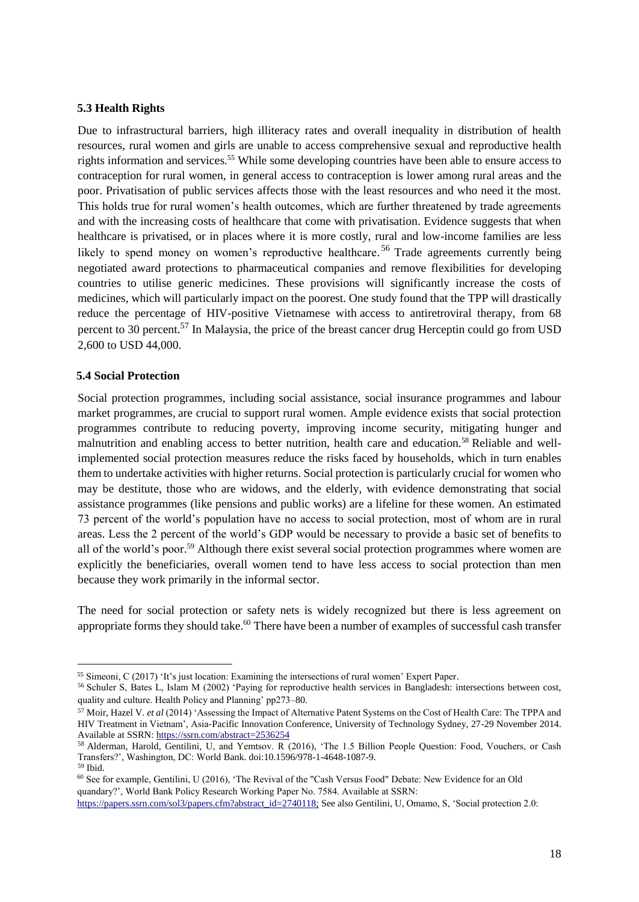#### <span id="page-17-0"></span>**5.3 Health Rights**

Due to infrastructural barriers, high illiteracy rates and overall inequality in distribution of health resources, rural women and girls are unable to access comprehensive sexual and reproductive health rights information and services.<sup>55</sup> While some developing countries have been able to ensure access to contraception for rural women, in general access to contraception is lower among rural areas and the poor. Privatisation of public services affects those with the least resources and who need it the most. This holds true for rural women's health outcomes, which are further threatened by trade agreements and with the increasing costs of healthcare that come with privatisation. Evidence suggests that when healthcare is privatised, or in places where it is more costly, rural and low-income families are less likely to spend money on women's reproductive healthcare.<sup>56</sup> Trade agreements currently being negotiated award protections to pharmaceutical companies and remove flexibilities for developing countries to utilise generic medicines. These provisions will significantly increase the costs of medicines, which will particularly impact on the poorest. One study found that the TPP will drastically reduce the percentage of HIV-positive Vietnamese with access to antiretroviral therapy, from 68 percent to 30 percent.<sup>57</sup> In Malaysia, the price of the breast cancer drug Herceptin could go from USD 2,600 to USD 44,000.

#### <span id="page-17-1"></span>**5.4 Social Protection**

 $\overline{a}$ 

Social protection programmes, including social assistance, social insurance programmes and labour market programmes, are crucial to support rural women. Ample evidence exists that social protection programmes contribute to reducing poverty, improving income security, mitigating hunger and malnutrition and enabling access to better nutrition, health care and education.<sup>58</sup> Reliable and wellimplemented social protection measures reduce the risks faced by households, which in turn enables them to undertake activities with higher returns. Social protection is particularly crucial for women who may be destitute, those who are widows, and the elderly, with evidence demonstrating that social assistance programmes (like pensions and public works) are a lifeline for these women. An estimated 73 percent of the world's population have no access to social protection, most of whom are in rural areas. Less the 2 percent of the world's GDP would be necessary to provide a basic set of benefits to all of the world's poor.<sup>59</sup> Although there exist several social protection programmes where women are explicitly the beneficiaries, overall women tend to have less access to social protection than men because they work primarily in the informal sector.

The need for social protection or safety nets is widely recognized but there is less agreement on appropriate forms they should take.<sup>60</sup> There have been a number of examples of successful cash transfer

<sup>55</sup> Simeoni, C (2017) 'It's just location: Examining the intersections of rural women' Expert Paper.

<sup>56</sup> Schuler S, Bates L, Islam M (2002) 'Paying for reproductive health services in Bangladesh: intersections between cost, quality and culture. Health Policy and Planning' pp273–80.

<sup>57</sup> Moir, Hazel V. *et al* (2014) 'Assessing the Impact of Alternative Patent Systems on the Cost of Health Care: The TPPA and HIV Treatment in Vietnam', Asia-Pacific Innovation Conference, University of Technology Sydney, 27-29 November 2014. Available at SSRN[: https://ssrn.com/abstract=2536254](https://ssrn.com/abstract=2536254)

<sup>58</sup> Alderman, Harold, Gentilini, U, and Yemtsov. R (2016), 'The 1.5 Billion People Question: Food, Vouchers, or Cash Transfers?', Washington, DC: World Bank. doi:10.1596/978-1-4648-1087-9. <sup>59</sup> Ibid.

<sup>60</sup> See for example, Gentilini, U (2016), 'The Revival of the "Cash Versus Food" Debate: New Evidence for an Old quandary?', World Bank Policy Research Working Paper No. 7584. Available at SSRN:

[https://papers.ssrn.com/sol3/papers.cfm?abstract\\_id=2740118;](https://papers.ssrn.com/sol3/papers.cfm?abstract_id=2740118;) See also Gentilini, U, Omamo, S, 'Social protection 2.0: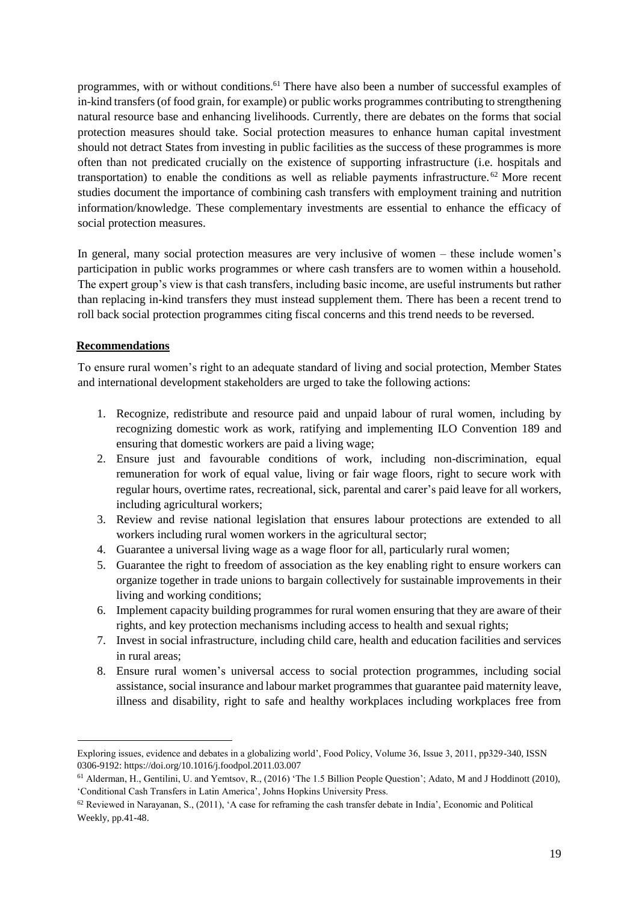programmes, with or without conditions.<sup>61</sup> There have also been a number of successful examples of in-kind transfers (of food grain, for example) or public works programmes contributing to strengthening natural resource base and enhancing livelihoods. Currently, there are debates on the forms that social protection measures should take. Social protection measures to enhance human capital investment should not detract States from investing in public facilities as the success of these programmes is more often than not predicated crucially on the existence of supporting infrastructure (i.e. hospitals and transportation) to enable the conditions as well as reliable payments infrastructure. <sup>62</sup> More recent studies document the importance of combining cash transfers with employment training and nutrition information/knowledge. These complementary investments are essential to enhance the efficacy of social protection measures.

In general, many social protection measures are very inclusive of women – these include women's participation in public works programmes or where cash transfers are to women within a household. The expert group's view is that cash transfers, including basic income, are useful instruments but rather than replacing in-kind transfers they must instead supplement them. There has been a recent trend to roll back social protection programmes citing fiscal concerns and this trend needs to be reversed.

# <span id="page-18-0"></span>**Recommendations**

l

To ensure rural women's right to an adequate standard of living and social protection, Member States and international development stakeholders are urged to take the following actions:

- 1. Recognize, redistribute and resource paid and unpaid labour of rural women, including by recognizing domestic work as work, ratifying and implementing ILO Convention 189 and ensuring that domestic workers are paid a living wage;
- 2. Ensure just and favourable conditions of work, including non-discrimination, equal remuneration for work of equal value, living or fair wage floors, right to secure work with regular hours, overtime rates, recreational, sick, parental and carer's paid leave for all workers, including agricultural workers;
- 3. Review and revise national legislation that ensures labour protections are extended to all workers including rural women workers in the agricultural sector;
- 4. Guarantee a universal living wage as a wage floor for all, particularly rural women;
- 5. Guarantee the right to freedom of association as the key enabling right to ensure workers can organize together in trade unions to bargain collectively for sustainable improvements in their living and working conditions;
- 6. Implement capacity building programmes for rural women ensuring that they are aware of their rights, and key protection mechanisms including access to health and sexual rights;
- 7. Invest in social infrastructure, including child care, health and education facilities and services in rural areas;
- 8. Ensure rural women's universal access to social protection programmes, including social assistance, social insurance and labour market programmes that guarantee paid maternity leave, illness and disability, right to safe and healthy workplaces including workplaces free from

Exploring issues, evidence and debates in a globalizing world', Food Policy, Volume 36, Issue 3, 2011, pp329-340, ISSN 0306-91[92:](https://doi.org/10.1016/j.foodpol.2011.03.007) <https://doi.org/10.1016/j.foodpol.2011.03.007>

<sup>61</sup> Alderman, H., Gentilini, U. and Yemtsov, R., (2016) 'The 1.5 Billion People Question'; Adato, M and J Hoddinott (2010), 'Conditional Cash Transfers in Latin America', Johns Hopkins University Press.

 $62$  Reviewed in Narayanan, S., (2011), 'A case for reframing the cash transfer debate in India', Economic and Political Weekly, pp.41-48.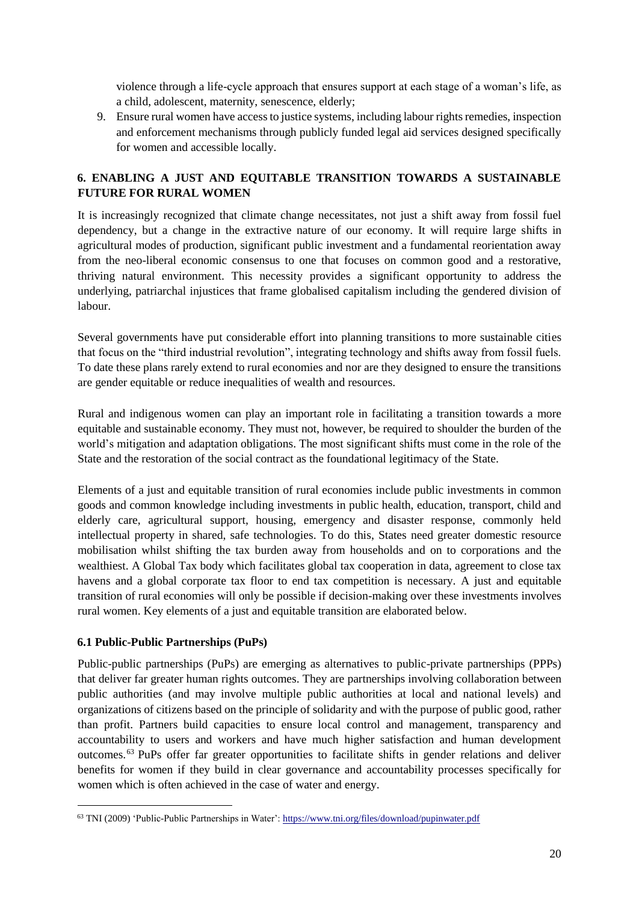violence through a life-cycle approach that ensures support at each stage of a woman's life, as a child, adolescent, maternity, senescence, elderly;

9. Ensure rural women have access to justice systems, including labour rights remedies, inspection and enforcement mechanisms through publicly funded legal aid services designed specifically for women and accessible locally.

# <span id="page-19-0"></span>**6. ENABLING A JUST AND EQUITABLE TRANSITION TOWARDS A SUSTAINABLE FUTURE FOR RURAL WOMEN**

It is increasingly recognized that climate change necessitates, not just a shift away from fossil fuel dependency, but a change in the extractive nature of our economy. It will require large shifts in agricultural modes of production, significant public investment and a fundamental reorientation away from the neo-liberal economic consensus to one that focuses on common good and a restorative, thriving natural environment. This necessity provides a significant opportunity to address the underlying, patriarchal injustices that frame globalised capitalism including the gendered division of labour.

Several governments have put considerable effort into planning transitions to more sustainable cities that focus on the "third industrial revolution", integrating technology and shifts away from fossil fuels. To date these plans rarely extend to rural economies and nor are they designed to ensure the transitions are gender equitable or reduce inequalities of wealth and resources.

Rural and indigenous women can play an important role in facilitating a transition towards a more equitable and sustainable economy. They must not, however, be required to shoulder the burden of the world's mitigation and adaptation obligations. The most significant shifts must come in the role of the State and the restoration of the social contract as the foundational legitimacy of the State.

Elements of a just and equitable transition of rural economies include public investments in common goods and common knowledge including investments in public health, education, transport, child and elderly care, agricultural support, housing, emergency and disaster response, commonly held intellectual property in shared, safe technologies. To do this, States need greater domestic resource mobilisation whilst shifting the tax burden away from households and on to corporations and the wealthiest. A Global Tax body which facilitates global tax cooperation in data, agreement to close tax havens and a global corporate tax floor to end tax competition is necessary. A just and equitable transition of rural economies will only be possible if decision-making over these investments involves rural women. Key elements of a just and equitable transition are elaborated below.

# <span id="page-19-1"></span>**6.1 Public-Public Partnerships (PuPs)**

 $\overline{a}$ 

Public-public partnerships (PuPs) are emerging as alternatives to public-private partnerships (PPPs) that deliver far greater human rights outcomes. They are partnerships involving collaboration between public authorities (and may involve multiple public authorities at local and national levels) and organizations of citizens based on the principle of solidarity and with the purpose of public good, rather than profit. Partners build capacities to ensure local control and management, transparency and accountability to users and workers and have much higher satisfaction and human development outcomes.<sup>63</sup> PuPs offer far greater opportunities to facilitate shifts in gender relations and deliver benefits for women if they build in clear governance and accountability processes specifically for women which is often achieved in the case of water and energy.

<sup>63</sup> TNI (2009) 'Public-Public Partnerships in Water'[: https://www.tni.org/files/download/pupinwater.pdf](https://www.tni.org/files/download/pupinwater.pdf)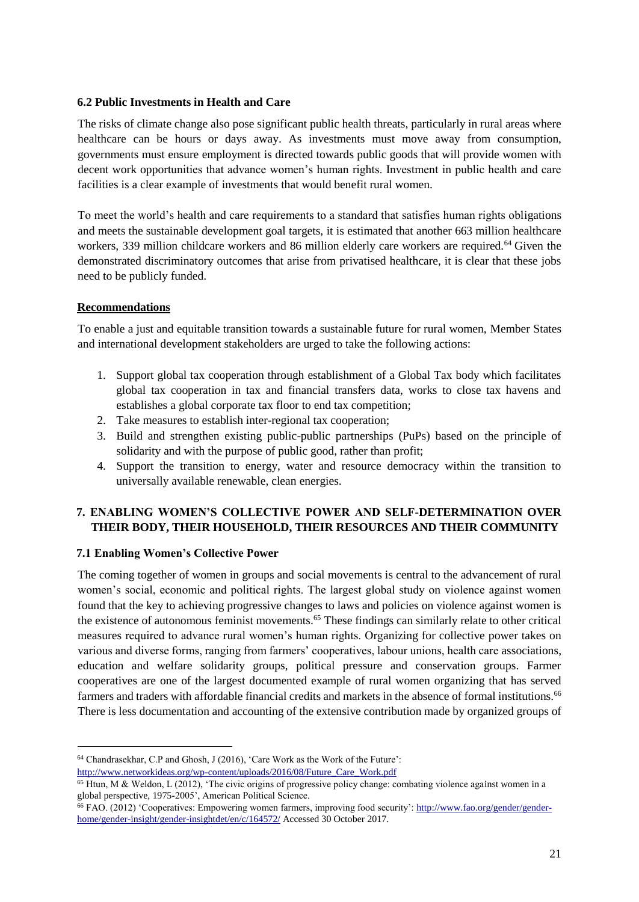### <span id="page-20-0"></span>**6.2 Public Investments in Health and Care**

The risks of climate change also pose significant public health threats, particularly in rural areas where healthcare can be hours or days away. As investments must move away from consumption, governments must ensure employment is directed towards public goods that will provide women with decent work opportunities that advance women's human rights. Investment in public health and care facilities is a clear example of investments that would benefit rural women.

To meet the world's health and care requirements to a standard that satisfies human rights obligations and meets the sustainable development goal targets, it is estimated that another 663 million healthcare workers, 339 million childcare workers and 86 million elderly care workers are required.<sup>64</sup> Given the demonstrated discriminatory outcomes that arise from privatised healthcare, it is clear that these jobs need to be publicly funded.

# <span id="page-20-1"></span>**Recommendations**

l

To enable a just and equitable transition towards a sustainable future for rural women, Member States and international development stakeholders are urged to take the following actions:

- 1. Support global tax cooperation through establishment of a Global Tax body which facilitates global tax cooperation in tax and financial transfers data, works to close tax havens and establishes a global corporate tax floor to end tax competition;
- 2. Take measures to establish inter-regional tax cooperation;
- 3. Build and strengthen existing public-public partnerships (PuPs) based on the principle of solidarity and with the purpose of public good, rather than profit;
- 4. Support the transition to energy, water and resource democracy within the transition to universally available renewable, clean energies.

# <span id="page-20-2"></span>**7. ENABLING WOMEN'S COLLECTIVE POWER AND SELF-DETERMINATION OVER THEIR BODY, THEIR HOUSEHOLD, THEIR RESOURCES AND THEIR COMMUNITY**

# <span id="page-20-3"></span>**7.1 Enabling Women's Collective Power**

The coming together of women in groups and social movements is central to the advancement of rural women's social, economic and political rights. The largest global study on violence against women found that the key to achieving progressive changes to laws and policies on violence against women is the existence of autonomous feminist movements.<sup>65</sup> These findings can similarly relate to other critical measures required to advance rural women's human rights. Organizing for collective power takes on various and diverse forms, ranging from farmers' cooperatives, labour unions, health care associations, education and welfare solidarity groups, political pressure and conservation groups. Farmer cooperatives are one of the largest documented example of rural women organizing that has served farmers and traders with affordable financial credits and markets in the absence of formal institutions.<sup>66</sup> There is less documentation and accounting of the extensive contribution made by organized groups of

<sup>64</sup> Chandrasekhar, C.P and Ghosh, J (2016), 'Care Work as the Work of the Future':

[http://www.networkideas.org/wp-content/uploads/2016/08/Future\\_Care\\_Work.pdf](http://www.networkideas.org/wp-content/uploads/2016/08/Future_Care_Work.pdf) 

<sup>&</sup>lt;sup>65</sup> Htun, M & Weldon, L (2012), 'The civic origins of progressive policy change: combating violence against women in a global perspective, 1975-2005', American Political Science.

<sup>&</sup>lt;sup>66</sup> FAO. (2012) 'Cooperatives: Empowering women farmers, improving food security': [http://www.fao.org/gender/gender](http://www.fao.org/gender/gender-home/gender-insight/gender-insightdet/en/c/164572/)[home/gender-insight/gender-insightdet/en/c/164572/](http://www.fao.org/gender/gender-home/gender-insight/gender-insightdet/en/c/164572/) Accessed 30 October 2017.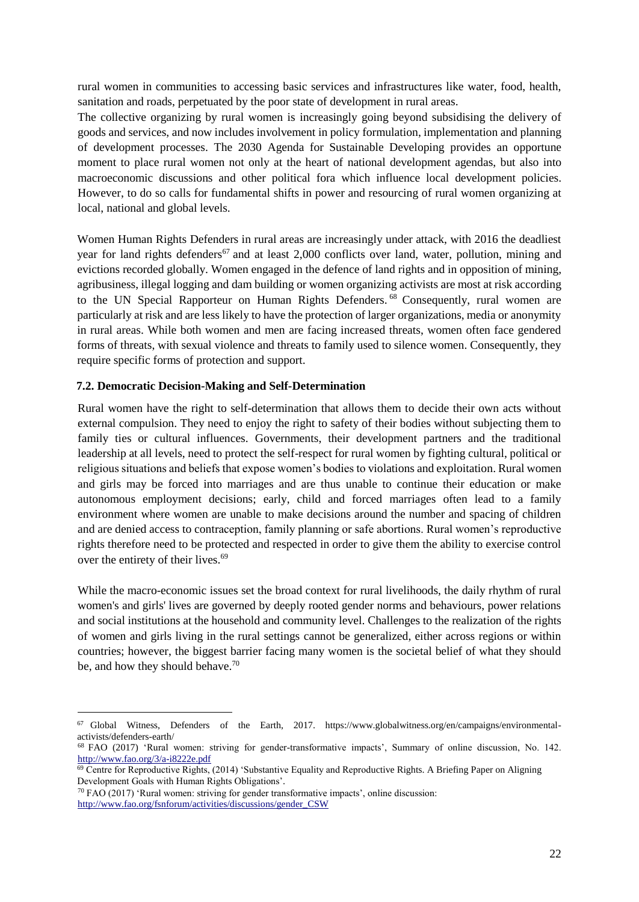rural women in communities to accessing basic services and infrastructures like water, food, health, sanitation and roads, perpetuated by the poor state of development in rural areas.

The collective organizing by rural women is increasingly going beyond subsidising the delivery of goods and services, and now includes involvement in policy formulation, implementation and planning of development processes. The 2030 Agenda for Sustainable Developing provides an opportune moment to place rural women not only at the heart of national development agendas, but also into macroeconomic discussions and other political fora which influence local development policies. However, to do so calls for fundamental shifts in power and resourcing of rural women organizing at local, national and global levels.

Women Human Rights Defenders in rural areas are increasingly under attack, with 2016 the deadliest year for land rights defenders<sup>67</sup> and at least 2,000 conflicts over land, water, pollution, mining and evictions recorded globally. Women engaged in the defence of land rights and in opposition of mining, agribusiness, illegal logging and dam building or women organizing activists are most at risk according to the UN Special Rapporteur on Human Rights Defenders.<sup>68</sup> Consequently, rural women are particularly at risk and are less likely to have the protection of larger organizations, media or anonymity in rural areas. While both women and men are facing increased threats, women often face gendered forms of threats, with sexual violence and threats to family used to silence women. Consequently, they require specific forms of protection and support.

### <span id="page-21-0"></span>**7.2. Democratic Decision-Making and Self-Determination**

Rural women have the right to self-determination that allows them to decide their own acts without external compulsion. They need to enjoy the right to safety of their bodies without subjecting them to family ties or cultural influences. Governments, their development partners and the traditional leadership at all levels, need to protect the self-respect for rural women by fighting cultural, political or religious situations and beliefs that expose women's bodies to violations and exploitation. Rural women and girls may be forced into marriages and are thus unable to continue their education or make autonomous employment decisions; early, child and forced marriages often lead to a family environment where women are unable to make decisions around the number and spacing of children and are denied access to contraception, family planning or safe abortions. Rural women's reproductive rights therefore need to be protected and respected in order to give them the ability to exercise control over the entirety of their lives.<sup>69</sup>

While the macro-economic issues set the broad context for rural livelihoods, the daily rhythm of rural women's and girls' lives are governed by deeply rooted gender norms and behaviours, power relations and social institutions at the household and community level. Challenges to the realization of the rights of women and girls living in the rural settings cannot be generalized, either across regions or within countries; however, the biggest barrier facing many women is the societal belief of what they should be, and how they should behave.<sup>70</sup>

 $70$  FAO (2017) 'Rural women: striving for gender transformative impacts', online discussion: [http://www.fao.org/fsnforum/activities/discussions/gender\\_CSW](http://www.fao.org/fsnforum/activities/discussions/gender_CSW)

 $\overline{a}$ 

 $67$  Global Witness, Defenders of the Earth, 2017. https://www.globalwitness.org/en/campaigns/environmentalactivists/defenders-earth/

<sup>68</sup> FAO (2017) 'Rural women: striving for gender-transformative impacts', Summary of online discussion, No. 142. <http://www.fao.org/3/a-i8222e.pdf>

<sup>69</sup> Centre for Reproductive Rights, (2014) 'Substantive Equality and Reproductive Rights. A Briefing Paper on Aligning Development Goals with Human Rights Obligations'.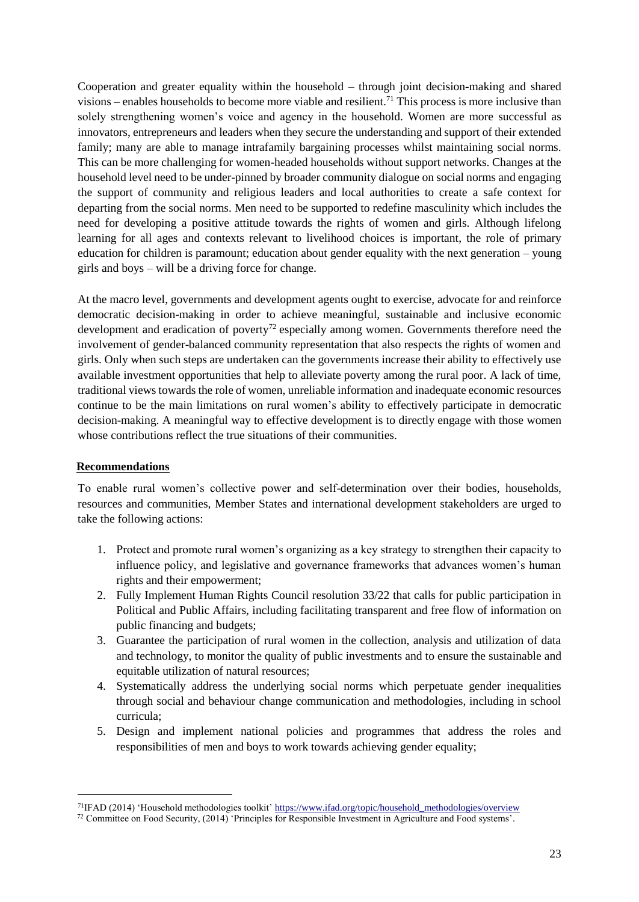Cooperation and greater equality within the household – through joint decision-making and shared visions – enables households to become more viable and resilient.<sup>71</sup> This process is more inclusive than solely strengthening women's voice and agency in the household. Women are more successful as innovators, entrepreneurs and leaders when they secure the understanding and support of their extended family; many are able to manage intrafamily bargaining processes whilst maintaining social norms. This can be more challenging for women-headed households without support networks. Changes at the household level need to be under-pinned by broader community dialogue on social norms and engaging the support of community and religious leaders and local authorities to create a safe context for departing from the social norms. Men need to be supported to redefine masculinity which includes the need for developing a positive attitude towards the rights of women and girls. Although lifelong learning for all ages and contexts relevant to livelihood choices is important, the role of primary education for children is paramount; education about gender equality with the next generation – young girls and boys – will be a driving force for change.

At the macro level, governments and development agents ought to exercise, advocate for and reinforce democratic decision-making in order to achieve meaningful, sustainable and inclusive economic development and eradication of poverty<sup>72</sup> especially among women. Governments therefore need the involvement of gender-balanced community representation that also respects the rights of women and girls. Only when such steps are undertaken can the governments increase their ability to effectively use available investment opportunities that help to alleviate poverty among the rural poor. A lack of time, traditional views towards the role of women, unreliable information and inadequate economic resources continue to be the main limitations on rural women's ability to effectively participate in democratic decision-making. A meaningful way to effective development is to directly engage with those women whose contributions reflect the true situations of their communities.

# <span id="page-22-0"></span>**Recommendations**

l

To enable rural women's collective power and self-determination over their bodies, households, resources and communities, Member States and international development stakeholders are urged to take the following actions:

- 1. Protect and promote rural women's organizing as a key strategy to strengthen their capacity to influence policy, and legislative and governance frameworks that advances women's human rights and their empowerment;
- 2. Fully Implement Human Rights Council resolution 33/22 that calls for public participation in Political and Public Affairs, including facilitating transparent and free flow of information on public financing and budgets;
- 3. Guarantee the participation of rural women in the collection, analysis and utilization of data and technology, to monitor the quality of public investments and to ensure the sustainable and equitable utilization of natural resources;
- 4. Systematically address the underlying social norms which perpetuate gender inequalities through social and behaviour change communication and methodologies, including in school curricula;
- 5. Design and implement national policies and programmes that address the roles and responsibilities of men and boys to work towards achieving gender equality;

<sup>71</sup>IFAD (2014) 'Household methodologies toolkit' [https://www.ifad.org/topic/household\\_methodologies/overview](https://www.ifad.org/topic/household_methodologies/overview)

<sup>72</sup> Committee on Food Security, (2014) 'Principles for Responsible Investment in Agriculture and Food systems'.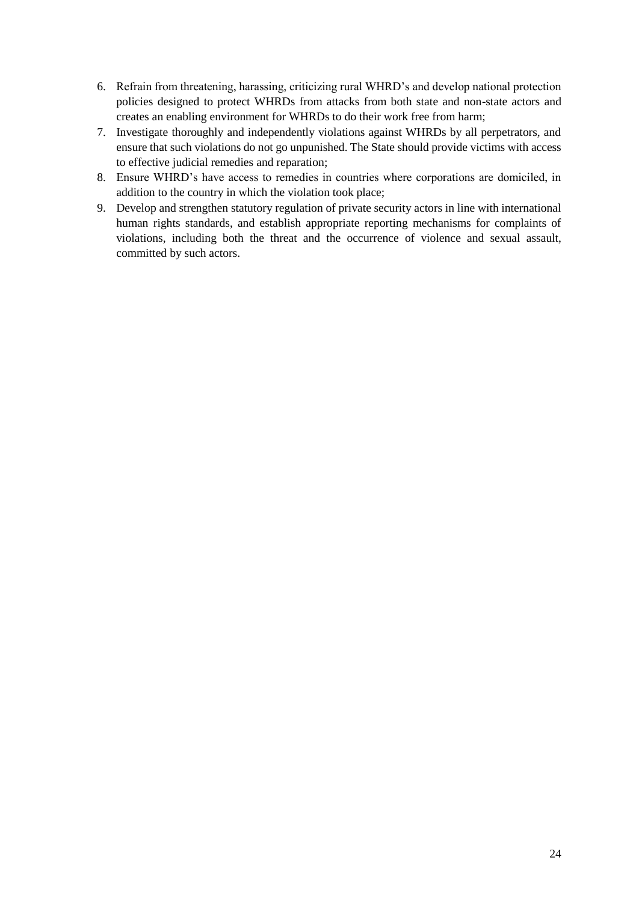- 6. Refrain from threatening, harassing, criticizing rural WHRD's and develop national protection policies designed to protect WHRDs from attacks from both state and non-state actors and creates an enabling environment for WHRDs to do their work free from harm;
- 7. Investigate thoroughly and independently violations against WHRDs by all perpetrators, and ensure that such violations do not go unpunished. The State should provide victims with access to effective judicial remedies and reparation;
- 8. Ensure WHRD's have access to remedies in countries where corporations are domiciled, in addition to the country in which the violation took place;
- 9. Develop and strengthen statutory regulation of private security actors in line with international human rights standards, and establish appropriate reporting mechanisms for complaints of violations, including both the threat and the occurrence of violence and sexual assault, committed by such actors.